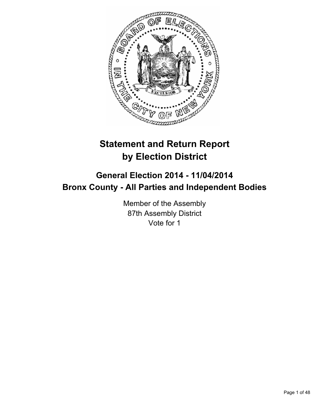

# **Statement and Return Report by Election District**

## **General Election 2014 - 11/04/2014 Bronx County - All Parties and Independent Bodies**

Member of the Assembly 87th Assembly District Vote for 1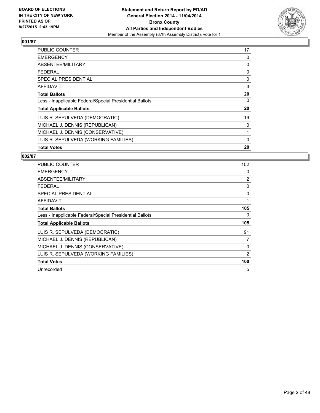

| <b>PUBLIC COUNTER</b>                                    | 17 |
|----------------------------------------------------------|----|
| <b>EMERGENCY</b>                                         | 0  |
| ABSENTEE/MILITARY                                        | 0  |
| <b>FEDERAL</b>                                           | 0  |
| <b>SPECIAL PRESIDENTIAL</b>                              | 0  |
| <b>AFFIDAVIT</b>                                         | 3  |
| <b>Total Ballots</b>                                     | 20 |
| Less - Inapplicable Federal/Special Presidential Ballots | 0  |
| <b>Total Applicable Ballots</b>                          | 20 |
| LUIS R. SEPULVEDA (DEMOCRATIC)                           | 19 |
| MICHAEL J. DENNIS (REPUBLICAN)                           | 0  |
| MICHAEL J. DENNIS (CONSERVATIVE)                         | 1  |
| LUIS R. SEPULVEDA (WORKING FAMILIES)                     | 0  |
| <b>Total Votes</b>                                       | 20 |

| <b>PUBLIC COUNTER</b>                                    | 102 |
|----------------------------------------------------------|-----|
| <b>EMERGENCY</b>                                         | 0   |
| ABSENTEE/MILITARY                                        | 2   |
| <b>FEDERAL</b>                                           | 0   |
| SPECIAL PRESIDENTIAL                                     | 0   |
| <b>AFFIDAVIT</b>                                         | 1   |
| <b>Total Ballots</b>                                     | 105 |
| Less - Inapplicable Federal/Special Presidential Ballots | 0   |
| <b>Total Applicable Ballots</b>                          | 105 |
| LUIS R. SEPULVEDA (DEMOCRATIC)                           | 91  |
| MICHAEL J. DENNIS (REPUBLICAN)                           | 7   |
| MICHAEL J. DENNIS (CONSERVATIVE)                         | 0   |
| LUIS R. SEPULVEDA (WORKING FAMILIES)                     | 2   |
| <b>Total Votes</b>                                       | 100 |
| Unrecorded                                               | 5   |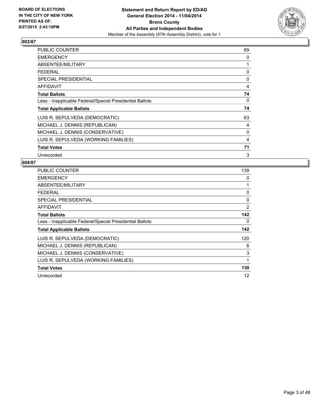

| <b>PUBLIC COUNTER</b>                                    | 69 |
|----------------------------------------------------------|----|
| <b>EMERGENCY</b>                                         | 0  |
| ABSENTEE/MILITARY                                        | 1  |
| <b>FEDERAL</b>                                           | 0  |
| <b>SPECIAL PRESIDENTIAL</b>                              | 0  |
| <b>AFFIDAVIT</b>                                         | 4  |
| <b>Total Ballots</b>                                     | 74 |
| Less - Inapplicable Federal/Special Presidential Ballots | 0  |
| <b>Total Applicable Ballots</b>                          | 74 |
| LUIS R. SEPULVEDA (DEMOCRATIC)                           | 63 |
| MICHAEL J. DENNIS (REPUBLICAN)                           | 4  |
| MICHAEL J. DENNIS (CONSERVATIVE)                         | 0  |
| LUIS R. SEPULVEDA (WORKING FAMILIES)                     | 4  |
| <b>Total Votes</b>                                       | 71 |
| Unrecorded                                               | 3  |

| PUBLIC COUNTER                                           | 139 |
|----------------------------------------------------------|-----|
| <b>EMERGENCY</b>                                         | 0   |
| ABSENTEE/MILITARY                                        | 1   |
| <b>FEDERAL</b>                                           | 0   |
| <b>SPECIAL PRESIDENTIAL</b>                              | 0   |
| <b>AFFIDAVIT</b>                                         | 2   |
| <b>Total Ballots</b>                                     | 142 |
| Less - Inapplicable Federal/Special Presidential Ballots | 0   |
| <b>Total Applicable Ballots</b>                          | 142 |
| LUIS R. SEPULVEDA (DEMOCRATIC)                           | 120 |
| MICHAEL J. DENNIS (REPUBLICAN)                           | 6   |
| MICHAEL J. DENNIS (CONSERVATIVE)                         | 3   |
| LUIS R. SEPULVEDA (WORKING FAMILIES)                     | 1   |
| <b>Total Votes</b>                                       | 130 |
| Unrecorded                                               | 12  |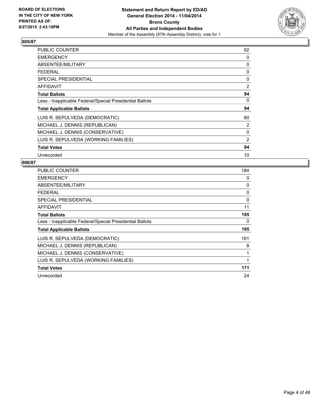

| <b>PUBLIC COUNTER</b>                                    | 92 |
|----------------------------------------------------------|----|
| <b>EMERGENCY</b>                                         | 0  |
| ABSENTEE/MILITARY                                        | 0  |
| <b>FEDERAL</b>                                           | 0  |
| <b>SPECIAL PRESIDENTIAL</b>                              | 0  |
| <b>AFFIDAVIT</b>                                         | 2  |
| <b>Total Ballots</b>                                     | 94 |
| Less - Inapplicable Federal/Special Presidential Ballots | 0  |
| <b>Total Applicable Ballots</b>                          | 94 |
| LUIS R. SEPULVEDA (DEMOCRATIC)                           | 80 |
| MICHAEL J. DENNIS (REPUBLICAN)                           | 2  |
| MICHAEL J. DENNIS (CONSERVATIVE)                         | 0  |
| LUIS R. SEPULVEDA (WORKING FAMILIES)                     | 2  |
| <b>Total Votes</b>                                       | 84 |
| Unrecorded                                               | 10 |

| <b>PUBLIC COUNTER</b>                                    | 184 |
|----------------------------------------------------------|-----|
| <b>EMERGENCY</b>                                         | 0   |
| ABSENTEE/MILITARY                                        | 0   |
| <b>FEDERAL</b>                                           | 0   |
| SPECIAL PRESIDENTIAL                                     | 0   |
| <b>AFFIDAVIT</b>                                         | 11  |
| <b>Total Ballots</b>                                     | 195 |
| Less - Inapplicable Federal/Special Presidential Ballots | 0   |
| <b>Total Applicable Ballots</b>                          | 195 |
| LUIS R. SEPULVEDA (DEMOCRATIC)                           | 161 |
| MICHAEL J. DENNIS (REPUBLICAN)                           | 8   |
| MICHAEL J. DENNIS (CONSERVATIVE)                         | 1   |
| LUIS R. SEPULVEDA (WORKING FAMILIES)                     | 1   |
| <b>Total Votes</b>                                       | 171 |
| Unrecorded                                               | 24  |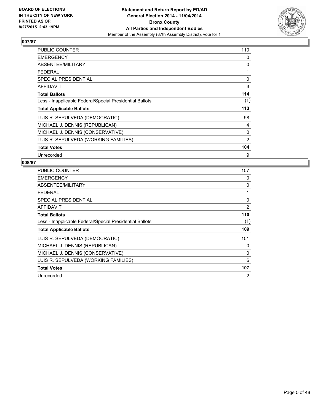

| <b>PUBLIC COUNTER</b>                                    | 110 |
|----------------------------------------------------------|-----|
| <b>EMERGENCY</b>                                         | 0   |
| ABSENTEE/MILITARY                                        | 0   |
| <b>FEDERAL</b>                                           | 1   |
| <b>SPECIAL PRESIDENTIAL</b>                              | 0   |
| <b>AFFIDAVIT</b>                                         | 3   |
| <b>Total Ballots</b>                                     | 114 |
| Less - Inapplicable Federal/Special Presidential Ballots | (1) |
| <b>Total Applicable Ballots</b>                          | 113 |
| LUIS R. SEPULVEDA (DEMOCRATIC)                           | 98  |
| MICHAEL J. DENNIS (REPUBLICAN)                           | 4   |
| MICHAEL J. DENNIS (CONSERVATIVE)                         | 0   |
| LUIS R. SEPULVEDA (WORKING FAMILIES)                     | 2   |
| <b>Total Votes</b>                                       | 104 |
| Unrecorded                                               | 9   |

| PUBLIC COUNTER                                           | 107            |
|----------------------------------------------------------|----------------|
| <b>EMERGENCY</b>                                         | 0              |
| ABSENTEE/MILITARY                                        | 0              |
| <b>FEDERAL</b>                                           | 1              |
| <b>SPECIAL PRESIDENTIAL</b>                              | 0              |
| AFFIDAVIT                                                | 2              |
| <b>Total Ballots</b>                                     | 110            |
| Less - Inapplicable Federal/Special Presidential Ballots | (1)            |
| <b>Total Applicable Ballots</b>                          | 109            |
| LUIS R. SEPULVEDA (DEMOCRATIC)                           | 101            |
| MICHAEL J. DENNIS (REPUBLICAN)                           | 0              |
| MICHAEL J. DENNIS (CONSERVATIVE)                         | 0              |
| LUIS R. SEPULVEDA (WORKING FAMILIES)                     | 6              |
| <b>Total Votes</b>                                       | 107            |
| Unrecorded                                               | $\overline{2}$ |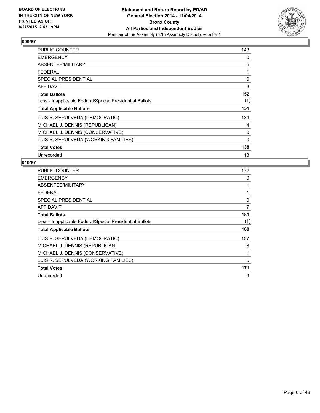

| <b>PUBLIC COUNTER</b>                                    | 143 |
|----------------------------------------------------------|-----|
| <b>EMERGENCY</b>                                         | 0   |
| ABSENTEE/MILITARY                                        | 5   |
| <b>FEDERAL</b>                                           | 1   |
| <b>SPECIAL PRESIDENTIAL</b>                              | 0   |
| <b>AFFIDAVIT</b>                                         | 3   |
| <b>Total Ballots</b>                                     | 152 |
| Less - Inapplicable Federal/Special Presidential Ballots | (1) |
| <b>Total Applicable Ballots</b>                          | 151 |
| LUIS R. SEPULVEDA (DEMOCRATIC)                           | 134 |
| MICHAEL J. DENNIS (REPUBLICAN)                           | 4   |
| MICHAEL J. DENNIS (CONSERVATIVE)                         | 0   |
| LUIS R. SEPULVEDA (WORKING FAMILIES)                     | 0   |
| <b>Total Votes</b>                                       | 138 |
| Unrecorded                                               | 13  |

| <b>PUBLIC COUNTER</b>                                    | 172 |
|----------------------------------------------------------|-----|
| <b>EMERGENCY</b>                                         | 0   |
| ABSENTEE/MILITARY                                        | 1   |
| <b>FEDERAL</b>                                           | 1   |
| SPECIAL PRESIDENTIAL                                     | 0   |
| AFFIDAVIT                                                | 7   |
| <b>Total Ballots</b>                                     | 181 |
| Less - Inapplicable Federal/Special Presidential Ballots | (1) |
| <b>Total Applicable Ballots</b>                          | 180 |
| LUIS R. SEPULVEDA (DEMOCRATIC)                           | 157 |
| MICHAEL J. DENNIS (REPUBLICAN)                           | 8   |
| MICHAEL J. DENNIS (CONSERVATIVE)                         | 1   |
| LUIS R. SEPULVEDA (WORKING FAMILIES)                     | 5   |
| <b>Total Votes</b>                                       | 171 |
| Unrecorded                                               | 9   |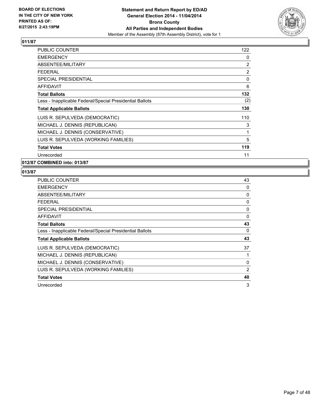

| <b>PUBLIC COUNTER</b>                                    | 122 |
|----------------------------------------------------------|-----|
| <b>EMERGENCY</b>                                         | 0   |
| ABSENTEE/MILITARY                                        | 2   |
| <b>FEDERAL</b>                                           | 2   |
| <b>SPECIAL PRESIDENTIAL</b>                              | 0   |
| <b>AFFIDAVIT</b>                                         | 6   |
| <b>Total Ballots</b>                                     | 132 |
| Less - Inapplicable Federal/Special Presidential Ballots | (2) |
| <b>Total Applicable Ballots</b>                          | 130 |
| LUIS R. SEPULVEDA (DEMOCRATIC)                           | 110 |
| MICHAEL J. DENNIS (REPUBLICAN)                           | 3   |
| MICHAEL J. DENNIS (CONSERVATIVE)                         | 1   |
| LUIS R. SEPULVEDA (WORKING FAMILIES)                     | 5   |
| <b>Total Votes</b>                                       | 119 |
| Unrecorded                                               | 11  |

## **012/87 COMBINED into: 013/87**

| <b>PUBLIC COUNTER</b>                                    | 43             |
|----------------------------------------------------------|----------------|
| <b>EMERGENCY</b>                                         | 0              |
| ABSENTEE/MILITARY                                        | 0              |
| <b>FEDERAL</b>                                           | 0              |
| <b>SPECIAL PRESIDENTIAL</b>                              | 0              |
| AFFIDAVIT                                                | 0              |
| <b>Total Ballots</b>                                     | 43             |
| Less - Inapplicable Federal/Special Presidential Ballots | 0              |
| <b>Total Applicable Ballots</b>                          | 43             |
| LUIS R. SEPULVEDA (DEMOCRATIC)                           | 37             |
| MICHAEL J. DENNIS (REPUBLICAN)                           |                |
| MICHAEL J. DENNIS (CONSERVATIVE)                         | 0              |
| LUIS R. SEPULVEDA (WORKING FAMILIES)                     | $\overline{2}$ |
| <b>Total Votes</b>                                       | 40             |
| Unrecorded                                               | 3              |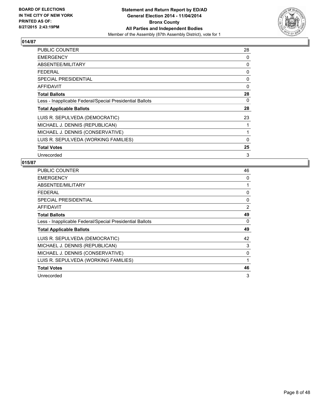

| PUBLIC COUNTER                                           | 28       |
|----------------------------------------------------------|----------|
| <b>EMERGENCY</b>                                         | 0        |
| ABSENTEE/MILITARY                                        | 0        |
| <b>FEDERAL</b>                                           | 0        |
| <b>SPECIAL PRESIDENTIAL</b>                              | 0        |
| <b>AFFIDAVIT</b>                                         | $\Omega$ |
| <b>Total Ballots</b>                                     | 28       |
| Less - Inapplicable Federal/Special Presidential Ballots | 0        |
| <b>Total Applicable Ballots</b>                          | 28       |
| LUIS R. SEPULVEDA (DEMOCRATIC)                           | 23       |
| MICHAEL J. DENNIS (REPUBLICAN)                           | 1        |
| MICHAEL J. DENNIS (CONSERVATIVE)                         | 1        |
| LUIS R. SEPULVEDA (WORKING FAMILIES)                     | 0        |
| <b>Total Votes</b>                                       | 25       |
| Unrecorded                                               | 3        |

| <b>PUBLIC COUNTER</b>                                    | 46 |
|----------------------------------------------------------|----|
| <b>EMERGENCY</b>                                         | 0  |
| ABSENTEE/MILITARY                                        | 1  |
| <b>FEDERAL</b>                                           | 0  |
| <b>SPECIAL PRESIDENTIAL</b>                              | 0  |
| AFFIDAVIT                                                | 2  |
| <b>Total Ballots</b>                                     | 49 |
| Less - Inapplicable Federal/Special Presidential Ballots | 0  |
| <b>Total Applicable Ballots</b>                          | 49 |
| LUIS R. SEPULVEDA (DEMOCRATIC)                           | 42 |
| MICHAEL J. DENNIS (REPUBLICAN)                           | 3  |
| MICHAEL J. DENNIS (CONSERVATIVE)                         | 0  |
| LUIS R. SEPULVEDA (WORKING FAMILIES)                     | 1  |
| <b>Total Votes</b>                                       | 46 |
| Unrecorded                                               | 3  |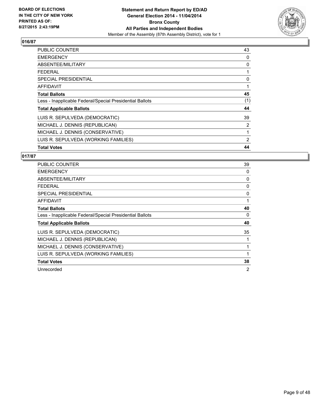

| <b>PUBLIC COUNTER</b>                                    | 43  |
|----------------------------------------------------------|-----|
| <b>EMERGENCY</b>                                         | 0   |
| ABSENTEE/MILITARY                                        | 0   |
| <b>FEDERAL</b>                                           |     |
| <b>SPECIAL PRESIDENTIAL</b>                              | 0   |
| <b>AFFIDAVIT</b>                                         | 1   |
| <b>Total Ballots</b>                                     | 45  |
| Less - Inapplicable Federal/Special Presidential Ballots | (1) |
| <b>Total Applicable Ballots</b>                          | 44  |
| LUIS R. SEPULVEDA (DEMOCRATIC)                           | 39  |
| MICHAEL J. DENNIS (REPUBLICAN)                           | 2   |
| MICHAEL J. DENNIS (CONSERVATIVE)                         | 1   |
| LUIS R. SEPULVEDA (WORKING FAMILIES)                     | 2   |
| <b>Total Votes</b>                                       | 44  |

| <b>PUBLIC COUNTER</b>                                    | 39 |
|----------------------------------------------------------|----|
| <b>EMERGENCY</b>                                         | 0  |
| ABSENTEE/MILITARY                                        | 0  |
| <b>FEDERAL</b>                                           | 0  |
| <b>SPECIAL PRESIDENTIAL</b>                              | 0  |
| AFFIDAVIT                                                | 1  |
| <b>Total Ballots</b>                                     | 40 |
| Less - Inapplicable Federal/Special Presidential Ballots | 0  |
| <b>Total Applicable Ballots</b>                          | 40 |
| LUIS R. SEPULVEDA (DEMOCRATIC)                           | 35 |
| MICHAEL J. DENNIS (REPUBLICAN)                           |    |
| MICHAEL J. DENNIS (CONSERVATIVE)                         |    |
| LUIS R. SEPULVEDA (WORKING FAMILIES)                     |    |
| <b>Total Votes</b>                                       | 38 |
| Unrecorded                                               | 2  |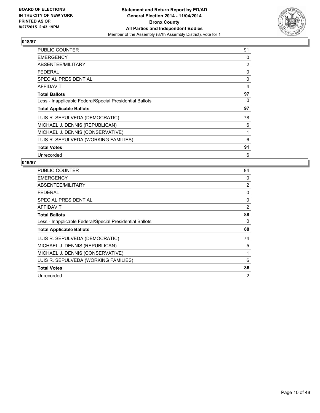

| <b>PUBLIC COUNTER</b>                                    | 91 |
|----------------------------------------------------------|----|
| <b>EMERGENCY</b>                                         | 0  |
| ABSENTEE/MILITARY                                        | 2  |
| <b>FEDERAL</b>                                           | 0  |
| <b>SPECIAL PRESIDENTIAL</b>                              | 0  |
| <b>AFFIDAVIT</b>                                         | 4  |
| <b>Total Ballots</b>                                     | 97 |
| Less - Inapplicable Federal/Special Presidential Ballots | 0  |
| <b>Total Applicable Ballots</b>                          | 97 |
| LUIS R. SEPULVEDA (DEMOCRATIC)                           | 78 |
| MICHAEL J. DENNIS (REPUBLICAN)                           | 6  |
| MICHAEL J. DENNIS (CONSERVATIVE)                         | 1  |
| LUIS R. SEPULVEDA (WORKING FAMILIES)                     | 6  |
| <b>Total Votes</b>                                       | 91 |
| Unrecorded                                               | 6  |

| <b>PUBLIC COUNTER</b>                                    | 84             |
|----------------------------------------------------------|----------------|
| <b>EMERGENCY</b>                                         | 0              |
| ABSENTEE/MILITARY                                        | $\overline{2}$ |
| <b>FEDERAL</b>                                           | 0              |
| <b>SPECIAL PRESIDENTIAL</b>                              | 0              |
| <b>AFFIDAVIT</b>                                         | 2              |
| <b>Total Ballots</b>                                     | 88             |
| Less - Inapplicable Federal/Special Presidential Ballots | 0              |
| <b>Total Applicable Ballots</b>                          | 88             |
| LUIS R. SEPULVEDA (DEMOCRATIC)                           | 74             |
| MICHAEL J. DENNIS (REPUBLICAN)                           | 5              |
| MICHAEL J. DENNIS (CONSERVATIVE)                         | 1              |
| LUIS R. SEPULVEDA (WORKING FAMILIES)                     | 6              |
| <b>Total Votes</b>                                       | 86             |
| Unrecorded                                               | 2              |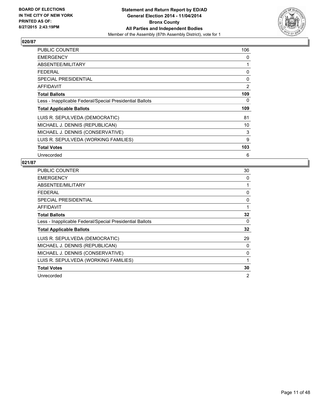

| <b>PUBLIC COUNTER</b>                                    | 106 |
|----------------------------------------------------------|-----|
| <b>EMERGENCY</b>                                         | 0   |
| ABSENTEE/MILITARY                                        | 1   |
| <b>FEDERAL</b>                                           | 0   |
| <b>SPECIAL PRESIDENTIAL</b>                              | 0   |
| <b>AFFIDAVIT</b>                                         | 2   |
| <b>Total Ballots</b>                                     | 109 |
| Less - Inapplicable Federal/Special Presidential Ballots | 0   |
| <b>Total Applicable Ballots</b>                          | 109 |
| LUIS R. SEPULVEDA (DEMOCRATIC)                           | 81  |
| MICHAEL J. DENNIS (REPUBLICAN)                           | 10  |
| MICHAEL J. DENNIS (CONSERVATIVE)                         | 3   |
| LUIS R. SEPULVEDA (WORKING FAMILIES)                     | 9   |
| <b>Total Votes</b>                                       | 103 |
| Unrecorded                                               | 6   |

| PUBLIC COUNTER                                           | 30 |
|----------------------------------------------------------|----|
| <b>EMERGENCY</b>                                         | 0  |
| ABSENTEE/MILITARY                                        | 1  |
| <b>FEDERAL</b>                                           | 0  |
| <b>SPECIAL PRESIDENTIAL</b>                              | 0  |
| AFFIDAVIT                                                | 1  |
| <b>Total Ballots</b>                                     | 32 |
| Less - Inapplicable Federal/Special Presidential Ballots | 0  |
| <b>Total Applicable Ballots</b>                          | 32 |
| LUIS R. SEPULVEDA (DEMOCRATIC)                           | 29 |
| MICHAEL J. DENNIS (REPUBLICAN)                           | 0  |
| MICHAEL J. DENNIS (CONSERVATIVE)                         | 0  |
| LUIS R. SEPULVEDA (WORKING FAMILIES)                     | 1  |
| <b>Total Votes</b>                                       | 30 |
| Unrecorded                                               | 2  |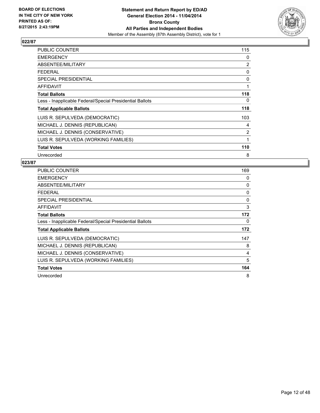

| <b>PUBLIC COUNTER</b>                                    | 115 |
|----------------------------------------------------------|-----|
| <b>EMERGENCY</b>                                         | 0   |
| ABSENTEE/MILITARY                                        | 2   |
| <b>FEDERAL</b>                                           | 0   |
| <b>SPECIAL PRESIDENTIAL</b>                              | 0   |
| <b>AFFIDAVIT</b>                                         | 1   |
| <b>Total Ballots</b>                                     | 118 |
| Less - Inapplicable Federal/Special Presidential Ballots | 0   |
| <b>Total Applicable Ballots</b>                          | 118 |
| LUIS R. SEPULVEDA (DEMOCRATIC)                           | 103 |
| MICHAEL J. DENNIS (REPUBLICAN)                           | 4   |
| MICHAEL J. DENNIS (CONSERVATIVE)                         | 2   |
| LUIS R. SEPULVEDA (WORKING FAMILIES)                     | 1   |
| <b>Total Votes</b>                                       | 110 |
| Unrecorded                                               | 8   |

| <b>PUBLIC COUNTER</b>                                    | 169 |
|----------------------------------------------------------|-----|
| <b>EMERGENCY</b>                                         | 0   |
| ABSENTEE/MILITARY                                        | 0   |
| <b>FEDERAL</b>                                           | 0   |
| SPECIAL PRESIDENTIAL                                     | 0   |
| <b>AFFIDAVIT</b>                                         | 3   |
| <b>Total Ballots</b>                                     | 172 |
| Less - Inapplicable Federal/Special Presidential Ballots | 0   |
| <b>Total Applicable Ballots</b>                          | 172 |
| LUIS R. SEPULVEDA (DEMOCRATIC)                           | 147 |
| MICHAEL J. DENNIS (REPUBLICAN)                           | 8   |
| MICHAEL J. DENNIS (CONSERVATIVE)                         | 4   |
| LUIS R. SEPULVEDA (WORKING FAMILIES)                     | 5   |
| <b>Total Votes</b>                                       | 164 |
| Unrecorded                                               | 8   |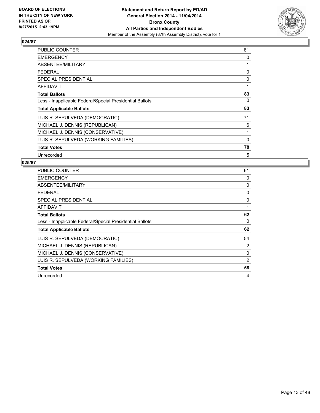

| <b>PUBLIC COUNTER</b>                                    | 81 |
|----------------------------------------------------------|----|
| <b>EMERGENCY</b>                                         | 0  |
| ABSENTEE/MILITARY                                        | 1  |
| FEDERAL                                                  | 0  |
| <b>SPECIAL PRESIDENTIAL</b>                              | 0  |
| <b>AFFIDAVIT</b>                                         | 1  |
| <b>Total Ballots</b>                                     | 83 |
| Less - Inapplicable Federal/Special Presidential Ballots | 0  |
| <b>Total Applicable Ballots</b>                          | 83 |
| LUIS R. SEPULVEDA (DEMOCRATIC)                           | 71 |
| MICHAEL J. DENNIS (REPUBLICAN)                           | 6  |
| MICHAEL J. DENNIS (CONSERVATIVE)                         | 1  |
| LUIS R. SEPULVEDA (WORKING FAMILIES)                     | 0  |
| <b>Total Votes</b>                                       | 78 |
| Unrecorded                                               | 5  |

| PUBLIC COUNTER                                           | 61 |
|----------------------------------------------------------|----|
| <b>EMERGENCY</b>                                         | 0  |
| ABSENTEE/MILITARY                                        | 0  |
| <b>FEDERAL</b>                                           | 0  |
| SPECIAL PRESIDENTIAL                                     | 0  |
| AFFIDAVIT                                                | 1  |
| <b>Total Ballots</b>                                     | 62 |
| Less - Inapplicable Federal/Special Presidential Ballots | 0  |
| <b>Total Applicable Ballots</b>                          | 62 |
| LUIS R. SEPULVEDA (DEMOCRATIC)                           | 54 |
| MICHAEL J. DENNIS (REPUBLICAN)                           | 2  |
| MICHAEL J. DENNIS (CONSERVATIVE)                         | 0  |
| LUIS R. SEPULVEDA (WORKING FAMILIES)                     | 2  |
| <b>Total Votes</b>                                       | 58 |
| Unrecorded                                               | 4  |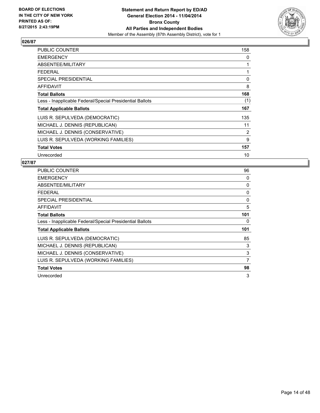

| PUBLIC COUNTER                                           | 158 |
|----------------------------------------------------------|-----|
| <b>EMERGENCY</b>                                         | 0   |
| ABSENTEE/MILITARY                                        | 1   |
| <b>FEDERAL</b>                                           | 1   |
| <b>SPECIAL PRESIDENTIAL</b>                              | 0   |
| <b>AFFIDAVIT</b>                                         | 8   |
| <b>Total Ballots</b>                                     | 168 |
| Less - Inapplicable Federal/Special Presidential Ballots | (1) |
| <b>Total Applicable Ballots</b>                          | 167 |
| LUIS R. SEPULVEDA (DEMOCRATIC)                           | 135 |
| MICHAEL J. DENNIS (REPUBLICAN)                           | 11  |
| MICHAEL J. DENNIS (CONSERVATIVE)                         | 2   |
| LUIS R. SEPULVEDA (WORKING FAMILIES)                     | 9   |
| <b>Total Votes</b>                                       | 157 |
| Unrecorded                                               | 10  |

| PUBLIC COUNTER                                           | 96       |
|----------------------------------------------------------|----------|
| <b>EMERGENCY</b>                                         | 0        |
| ABSENTEE/MILITARY                                        | 0        |
| <b>FEDERAL</b>                                           | 0        |
| <b>SPECIAL PRESIDENTIAL</b>                              | $\Omega$ |
| AFFIDAVIT                                                | 5        |
| <b>Total Ballots</b>                                     | 101      |
| Less - Inapplicable Federal/Special Presidential Ballots | 0        |
| <b>Total Applicable Ballots</b>                          | 101      |
| LUIS R. SEPULVEDA (DEMOCRATIC)                           | 85       |
| MICHAEL J. DENNIS (REPUBLICAN)                           | 3        |
| MICHAEL J. DENNIS (CONSERVATIVE)                         | 3        |
| LUIS R. SEPULVEDA (WORKING FAMILIES)                     | 7        |
| <b>Total Votes</b>                                       | 98       |
| Unrecorded                                               | 3        |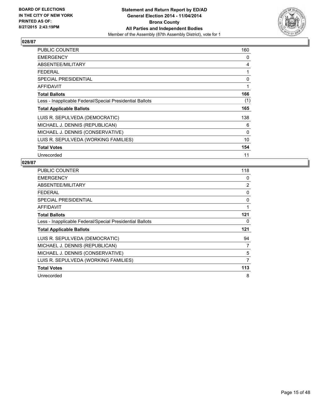

| PUBLIC COUNTER                                           | 160 |
|----------------------------------------------------------|-----|
| <b>EMERGENCY</b>                                         | 0   |
| ABSENTEE/MILITARY                                        | 4   |
| <b>FEDERAL</b>                                           | 1   |
| <b>SPECIAL PRESIDENTIAL</b>                              | 0   |
| AFFIDAVIT                                                | 1   |
| <b>Total Ballots</b>                                     | 166 |
| Less - Inapplicable Federal/Special Presidential Ballots | (1) |
| <b>Total Applicable Ballots</b>                          | 165 |
| LUIS R. SEPULVEDA (DEMOCRATIC)                           | 138 |
| MICHAEL J. DENNIS (REPUBLICAN)                           | 6   |
| MICHAEL J. DENNIS (CONSERVATIVE)                         | 0   |
| LUIS R. SEPULVEDA (WORKING FAMILIES)                     | 10  |
| <b>Total Votes</b>                                       | 154 |
| Unrecorded                                               | 11  |

| <b>PUBLIC COUNTER</b>                                    | 118 |
|----------------------------------------------------------|-----|
| <b>EMERGENCY</b>                                         | 0   |
| ABSENTEE/MILITARY                                        | 2   |
| <b>FEDERAL</b>                                           | 0   |
| SPECIAL PRESIDENTIAL                                     | 0   |
| AFFIDAVIT                                                | 1   |
| <b>Total Ballots</b>                                     | 121 |
| Less - Inapplicable Federal/Special Presidential Ballots | 0   |
| <b>Total Applicable Ballots</b>                          | 121 |
| LUIS R. SEPULVEDA (DEMOCRATIC)                           | 94  |
| MICHAEL J. DENNIS (REPUBLICAN)                           | 7   |
| MICHAEL J. DENNIS (CONSERVATIVE)                         | 5   |
| LUIS R. SEPULVEDA (WORKING FAMILIES)                     | 7   |
| <b>Total Votes</b>                                       | 113 |
| Unrecorded                                               | 8   |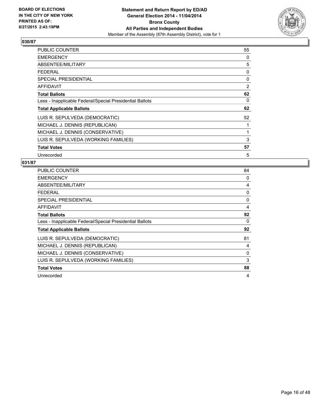

| <b>PUBLIC COUNTER</b>                                    | 55 |
|----------------------------------------------------------|----|
| <b>EMERGENCY</b>                                         | 0  |
| ABSENTEE/MILITARY                                        | 5  |
| FEDERAL                                                  | 0  |
| <b>SPECIAL PRESIDENTIAL</b>                              | 0  |
| <b>AFFIDAVIT</b>                                         | 2  |
| <b>Total Ballots</b>                                     | 62 |
| Less - Inapplicable Federal/Special Presidential Ballots | 0  |
| <b>Total Applicable Ballots</b>                          | 62 |
| LUIS R. SEPULVEDA (DEMOCRATIC)                           | 52 |
| MICHAEL J. DENNIS (REPUBLICAN)                           | 1  |
| MICHAEL J. DENNIS (CONSERVATIVE)                         | 1  |
| LUIS R. SEPULVEDA (WORKING FAMILIES)                     | 3  |
| <b>Total Votes</b>                                       | 57 |
| Unrecorded                                               | 5  |

| PUBLIC COUNTER                                           | 84 |
|----------------------------------------------------------|----|
| <b>EMERGENCY</b>                                         | 0  |
| ABSENTEE/MILITARY                                        | 4  |
| <b>FEDERAL</b>                                           | 0  |
| <b>SPECIAL PRESIDENTIAL</b>                              | 0  |
| AFFIDAVIT                                                | 4  |
| <b>Total Ballots</b>                                     | 92 |
| Less - Inapplicable Federal/Special Presidential Ballots | 0  |
| <b>Total Applicable Ballots</b>                          | 92 |
| LUIS R. SEPULVEDA (DEMOCRATIC)                           | 81 |
| MICHAEL J. DENNIS (REPUBLICAN)                           | 4  |
| MICHAEL J. DENNIS (CONSERVATIVE)                         | 0  |
| LUIS R. SEPULVEDA (WORKING FAMILIES)                     | 3  |
| <b>Total Votes</b>                                       | 88 |
| Unrecorded                                               | 4  |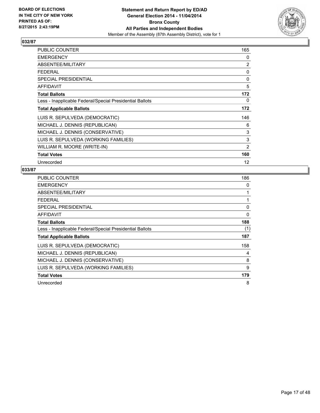

| <b>PUBLIC COUNTER</b>                                    | 165 |
|----------------------------------------------------------|-----|
| <b>EMERGENCY</b>                                         | 0   |
| ABSENTEE/MILITARY                                        | 2   |
| <b>FEDERAL</b>                                           | 0   |
| <b>SPECIAL PRESIDENTIAL</b>                              | 0   |
| AFFIDAVIT                                                | 5   |
| <b>Total Ballots</b>                                     | 172 |
| Less - Inapplicable Federal/Special Presidential Ballots | 0   |
| <b>Total Applicable Ballots</b>                          | 172 |
| LUIS R. SEPULVEDA (DEMOCRATIC)                           | 146 |
| MICHAEL J. DENNIS (REPUBLICAN)                           | 6   |
| MICHAEL J. DENNIS (CONSERVATIVE)                         | 3   |
| LUIS R. SEPULVEDA (WORKING FAMILIES)                     | 3   |
| WILLIAM R. MOORE (WRITE-IN)                              | 2   |
| <b>Total Votes</b>                                       | 160 |
| Unrecorded                                               | 12  |

| <b>PUBLIC COUNTER</b>                                    | 186 |
|----------------------------------------------------------|-----|
| <b>EMERGENCY</b>                                         | 0   |
| ABSENTEE/MILITARY                                        | 1   |
| <b>FEDERAL</b>                                           | 1   |
| <b>SPECIAL PRESIDENTIAL</b>                              | 0   |
| <b>AFFIDAVIT</b>                                         | 0   |
| <b>Total Ballots</b>                                     | 188 |
| Less - Inapplicable Federal/Special Presidential Ballots | (1) |
| <b>Total Applicable Ballots</b>                          | 187 |
| LUIS R. SEPULVEDA (DEMOCRATIC)                           | 158 |
| MICHAEL J. DENNIS (REPUBLICAN)                           | 4   |
| MICHAEL J. DENNIS (CONSERVATIVE)                         | 8   |
| LUIS R. SEPULVEDA (WORKING FAMILIES)                     | 9   |
| <b>Total Votes</b>                                       | 179 |
| Unrecorded                                               | 8   |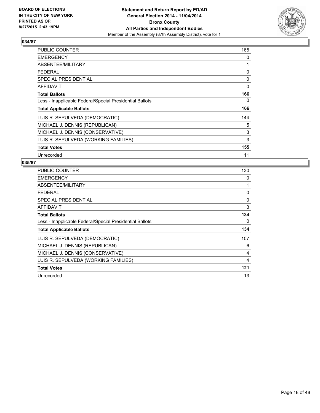

| <b>PUBLIC COUNTER</b>                                    | 165 |
|----------------------------------------------------------|-----|
| <b>EMERGENCY</b>                                         | 0   |
| ABSENTEE/MILITARY                                        | 1   |
| <b>FEDERAL</b>                                           | 0   |
| <b>SPECIAL PRESIDENTIAL</b>                              | 0   |
| <b>AFFIDAVIT</b>                                         | 0   |
| <b>Total Ballots</b>                                     | 166 |
| Less - Inapplicable Federal/Special Presidential Ballots | 0   |
| <b>Total Applicable Ballots</b>                          | 166 |
| LUIS R. SEPULVEDA (DEMOCRATIC)                           | 144 |
| MICHAEL J. DENNIS (REPUBLICAN)                           | 5   |
| MICHAEL J. DENNIS (CONSERVATIVE)                         | 3   |
| LUIS R. SEPULVEDA (WORKING FAMILIES)                     | 3   |
| <b>Total Votes</b>                                       | 155 |
| Unrecorded                                               | 11  |

| PUBLIC COUNTER                                           | 130 |
|----------------------------------------------------------|-----|
| <b>EMERGENCY</b>                                         | 0   |
| ABSENTEE/MILITARY                                        | 1   |
| <b>FEDERAL</b>                                           | 0   |
| <b>SPECIAL PRESIDENTIAL</b>                              | 0   |
| <b>AFFIDAVIT</b>                                         | 3   |
| <b>Total Ballots</b>                                     | 134 |
| Less - Inapplicable Federal/Special Presidential Ballots | 0   |
| <b>Total Applicable Ballots</b>                          | 134 |
| LUIS R. SEPULVEDA (DEMOCRATIC)                           | 107 |
| MICHAEL J. DENNIS (REPUBLICAN)                           | 6   |
| MICHAEL J. DENNIS (CONSERVATIVE)                         | 4   |
| LUIS R. SEPULVEDA (WORKING FAMILIES)                     | 4   |
| <b>Total Votes</b>                                       | 121 |
| Unrecorded                                               | 13  |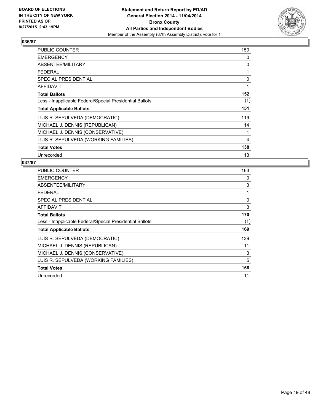

| <b>PUBLIC COUNTER</b>                                    | 150 |
|----------------------------------------------------------|-----|
| <b>EMERGENCY</b>                                         | 0   |
| ABSENTEE/MILITARY                                        | 0   |
| <b>FEDERAL</b>                                           | 1   |
| <b>SPECIAL PRESIDENTIAL</b>                              | 0   |
| <b>AFFIDAVIT</b>                                         | 1   |
| <b>Total Ballots</b>                                     | 152 |
| Less - Inapplicable Federal/Special Presidential Ballots | (1) |
| <b>Total Applicable Ballots</b>                          | 151 |
| LUIS R. SEPULVEDA (DEMOCRATIC)                           | 119 |
| MICHAEL J. DENNIS (REPUBLICAN)                           | 14  |
| MICHAEL J. DENNIS (CONSERVATIVE)                         | 1   |
| LUIS R. SEPULVEDA (WORKING FAMILIES)                     | 4   |
| <b>Total Votes</b>                                       | 138 |
| Unrecorded                                               | 13  |

| <b>PUBLIC COUNTER</b>                                    | 163 |
|----------------------------------------------------------|-----|
| <b>EMERGENCY</b>                                         | 0   |
| ABSENTEE/MILITARY                                        | 3   |
| <b>FEDERAL</b>                                           | 1   |
| <b>SPECIAL PRESIDENTIAL</b>                              | 0   |
| AFFIDAVIT                                                | 3   |
| <b>Total Ballots</b>                                     | 170 |
| Less - Inapplicable Federal/Special Presidential Ballots | (1) |
| <b>Total Applicable Ballots</b>                          | 169 |
| LUIS R. SEPULVEDA (DEMOCRATIC)                           | 139 |
| MICHAEL J. DENNIS (REPUBLICAN)                           | 11  |
| MICHAEL J. DENNIS (CONSERVATIVE)                         | 3   |
| LUIS R. SEPULVEDA (WORKING FAMILIES)                     | 5   |
| <b>Total Votes</b>                                       | 158 |
| Unrecorded                                               | 11  |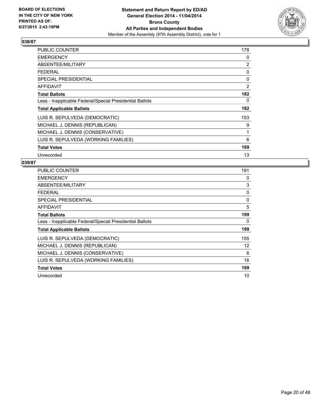

| PUBLIC COUNTER                                           | 178 |
|----------------------------------------------------------|-----|
| <b>EMERGENCY</b>                                         | 0   |
| ABSENTEE/MILITARY                                        | 2   |
| <b>FEDERAL</b>                                           | 0   |
| <b>SPECIAL PRESIDENTIAL</b>                              | 0   |
| <b>AFFIDAVIT</b>                                         | 2   |
| <b>Total Ballots</b>                                     | 182 |
| Less - Inapplicable Federal/Special Presidential Ballots | 0   |
| <b>Total Applicable Ballots</b>                          | 182 |
| LUIS R. SEPULVEDA (DEMOCRATIC)                           | 153 |
| MICHAEL J. DENNIS (REPUBLICAN)                           | 9   |
| MICHAEL J. DENNIS (CONSERVATIVE)                         | 1   |
| LUIS R. SEPULVEDA (WORKING FAMILIES)                     | 6   |
| <b>Total Votes</b>                                       | 169 |
| Unrecorded                                               | 13  |

| PUBLIC COUNTER                                           | 191 |
|----------------------------------------------------------|-----|
| <b>EMERGENCY</b>                                         | 0   |
| ABSENTEE/MILITARY                                        | 3   |
| <b>FEDERAL</b>                                           | 0   |
| <b>SPECIAL PRESIDENTIAL</b>                              | 0   |
| AFFIDAVIT                                                | 5   |
| <b>Total Ballots</b>                                     | 199 |
| Less - Inapplicable Federal/Special Presidential Ballots | 0   |
| <b>Total Applicable Ballots</b>                          | 199 |
| LUIS R. SEPULVEDA (DEMOCRATIC)                           | 155 |
| MICHAEL J. DENNIS (REPUBLICAN)                           | 12  |
| MICHAEL J. DENNIS (CONSERVATIVE)                         | 6   |
| LUIS R. SEPULVEDA (WORKING FAMILIES)                     | 16  |
| <b>Total Votes</b>                                       | 189 |
| Unrecorded                                               | 10  |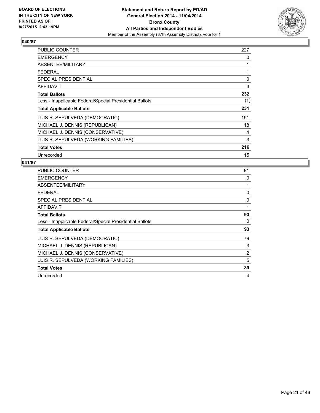

| PUBLIC COUNTER                                           | 227 |
|----------------------------------------------------------|-----|
| <b>EMERGENCY</b>                                         | 0   |
| ABSENTEE/MILITARY                                        | 1   |
| <b>FEDERAL</b>                                           | 1   |
| <b>SPECIAL PRESIDENTIAL</b>                              | 0   |
| <b>AFFIDAVIT</b>                                         | 3   |
| <b>Total Ballots</b>                                     | 232 |
| Less - Inapplicable Federal/Special Presidential Ballots | (1) |
| <b>Total Applicable Ballots</b>                          | 231 |
| LUIS R. SEPULVEDA (DEMOCRATIC)                           | 191 |
| MICHAEL J. DENNIS (REPUBLICAN)                           | 18  |
| MICHAEL J. DENNIS (CONSERVATIVE)                         | 4   |
| LUIS R. SEPULVEDA (WORKING FAMILIES)                     | 3   |
| <b>Total Votes</b>                                       | 216 |
| Unrecorded                                               | 15  |

| <b>PUBLIC COUNTER</b>                                    | 91 |
|----------------------------------------------------------|----|
| <b>EMERGENCY</b>                                         | 0  |
| ABSENTEE/MILITARY                                        | 1  |
| <b>FEDERAL</b>                                           | 0  |
| <b>SPECIAL PRESIDENTIAL</b>                              | 0  |
| AFFIDAVIT                                                | 1  |
| <b>Total Ballots</b>                                     | 93 |
| Less - Inapplicable Federal/Special Presidential Ballots | 0  |
| <b>Total Applicable Ballots</b>                          | 93 |
| LUIS R. SEPULVEDA (DEMOCRATIC)                           | 79 |
| MICHAEL J. DENNIS (REPUBLICAN)                           | 3  |
| MICHAEL J. DENNIS (CONSERVATIVE)                         | 2  |
| LUIS R. SEPULVEDA (WORKING FAMILIES)                     | 5  |
| <b>Total Votes</b>                                       | 89 |
| Unrecorded                                               | 4  |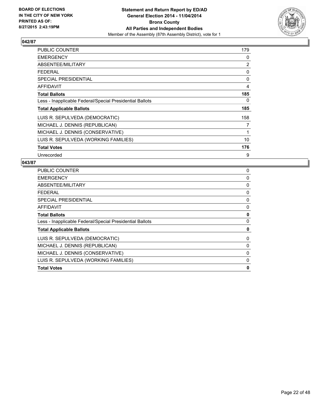

| PUBLIC COUNTER                                           | 179 |
|----------------------------------------------------------|-----|
| <b>EMERGENCY</b>                                         | 0   |
| ABSENTEE/MILITARY                                        | 2   |
| <b>FEDERAL</b>                                           | 0   |
| <b>SPECIAL PRESIDENTIAL</b>                              | 0   |
| AFFIDAVIT                                                | 4   |
| <b>Total Ballots</b>                                     | 185 |
| Less - Inapplicable Federal/Special Presidential Ballots | 0   |
| <b>Total Applicable Ballots</b>                          | 185 |
| LUIS R. SEPULVEDA (DEMOCRATIC)                           | 158 |
| MICHAEL J. DENNIS (REPUBLICAN)                           | 7   |
| MICHAEL J. DENNIS (CONSERVATIVE)                         | 1   |
| LUIS R. SEPULVEDA (WORKING FAMILIES)                     | 10  |
| <b>Total Votes</b>                                       | 176 |
| Unrecorded                                               | 9   |

| <b>PUBLIC COUNTER</b>                                    | 0        |
|----------------------------------------------------------|----------|
| <b>EMERGENCY</b>                                         | 0        |
| ABSENTEE/MILITARY                                        | 0        |
| <b>FEDERAL</b>                                           | 0        |
| SPECIAL PRESIDENTIAL                                     | 0        |
| <b>AFFIDAVIT</b>                                         | $\Omega$ |
| <b>Total Ballots</b>                                     | 0        |
| Less - Inapplicable Federal/Special Presidential Ballots | 0        |
| <b>Total Applicable Ballots</b>                          | 0        |
| LUIS R. SEPULVEDA (DEMOCRATIC)                           | 0        |
| MICHAEL J. DENNIS (REPUBLICAN)                           | $\Omega$ |
| MICHAEL J. DENNIS (CONSERVATIVE)                         | $\Omega$ |
| LUIS R. SEPULVEDA (WORKING FAMILIES)                     | 0        |
| <b>Total Votes</b>                                       | 0        |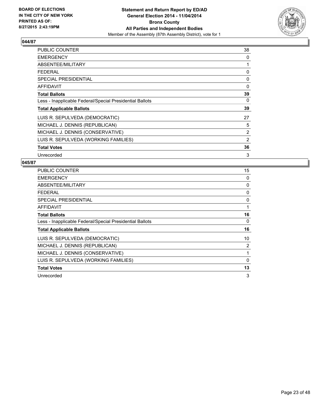

| <b>PUBLIC COUNTER</b>                                    | 38       |
|----------------------------------------------------------|----------|
| <b>EMERGENCY</b>                                         | 0        |
| ABSENTEE/MILITARY                                        | 1        |
| <b>FEDERAL</b>                                           | 0        |
| <b>SPECIAL PRESIDENTIAL</b>                              | 0        |
| <b>AFFIDAVIT</b>                                         | $\Omega$ |
| <b>Total Ballots</b>                                     | 39       |
| Less - Inapplicable Federal/Special Presidential Ballots | 0        |
| <b>Total Applicable Ballots</b>                          | 39       |
| LUIS R. SEPULVEDA (DEMOCRATIC)                           | 27       |
| MICHAEL J. DENNIS (REPUBLICAN)                           | 5        |
| MICHAEL J. DENNIS (CONSERVATIVE)                         | 2        |
| LUIS R. SEPULVEDA (WORKING FAMILIES)                     | 2        |
| <b>Total Votes</b>                                       | 36       |
| Unrecorded                                               | 3        |

| PUBLIC COUNTER                                           | 15       |
|----------------------------------------------------------|----------|
| <b>EMERGENCY</b>                                         | 0        |
| ABSENTEE/MILITARY                                        | 0        |
| <b>FEDERAL</b>                                           | 0        |
| <b>SPECIAL PRESIDENTIAL</b>                              | 0        |
| AFFIDAVIT                                                | 1        |
| <b>Total Ballots</b>                                     | 16       |
| Less - Inapplicable Federal/Special Presidential Ballots | 0        |
| <b>Total Applicable Ballots</b>                          | 16       |
| LUIS R. SEPULVEDA (DEMOCRATIC)                           | 10       |
| MICHAEL J. DENNIS (REPUBLICAN)                           | 2        |
| MICHAEL J. DENNIS (CONSERVATIVE)                         | 1        |
| LUIS R. SEPULVEDA (WORKING FAMILIES)                     | $\Omega$ |
| <b>Total Votes</b>                                       | 13       |
| Unrecorded                                               | 3        |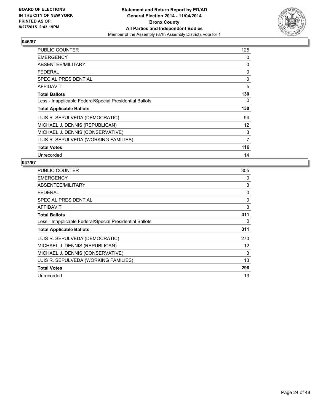

| <b>PUBLIC COUNTER</b>                                    | 125            |
|----------------------------------------------------------|----------------|
| <b>EMERGENCY</b>                                         | 0              |
| ABSENTEE/MILITARY                                        | 0              |
| <b>FEDERAL</b>                                           | 0              |
| <b>SPECIAL PRESIDENTIAL</b>                              | 0              |
| <b>AFFIDAVIT</b>                                         | 5              |
| <b>Total Ballots</b>                                     | 130            |
| Less - Inapplicable Federal/Special Presidential Ballots | 0              |
| <b>Total Applicable Ballots</b>                          | 130            |
| LUIS R. SEPULVEDA (DEMOCRATIC)                           | 94             |
| MICHAEL J. DENNIS (REPUBLICAN)                           | 12             |
| MICHAEL J. DENNIS (CONSERVATIVE)                         | 3              |
| LUIS R. SEPULVEDA (WORKING FAMILIES)                     | $\overline{7}$ |
| <b>Total Votes</b>                                       | 116            |
| Unrecorded                                               | 14             |

| <b>PUBLIC COUNTER</b>                                    | 305 |
|----------------------------------------------------------|-----|
| <b>EMERGENCY</b>                                         | 0   |
| ABSENTEE/MILITARY                                        | 3   |
| <b>FEDERAL</b>                                           | 0   |
| <b>SPECIAL PRESIDENTIAL</b>                              | 0   |
| <b>AFFIDAVIT</b>                                         | 3   |
| <b>Total Ballots</b>                                     | 311 |
| Less - Inapplicable Federal/Special Presidential Ballots | 0   |
| <b>Total Applicable Ballots</b>                          | 311 |
| LUIS R. SEPULVEDA (DEMOCRATIC)                           | 270 |
| MICHAEL J. DENNIS (REPUBLICAN)                           | 12  |
| MICHAEL J. DENNIS (CONSERVATIVE)                         | 3   |
| LUIS R. SEPULVEDA (WORKING FAMILIES)                     | 13  |
| <b>Total Votes</b>                                       | 298 |
| Unrecorded                                               | 13  |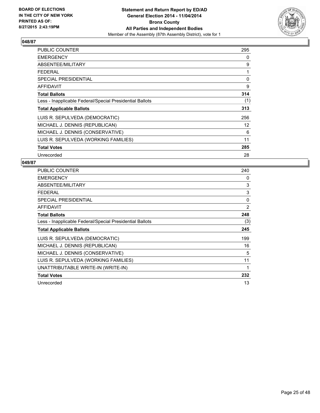

| <b>PUBLIC COUNTER</b>                                    | 295               |
|----------------------------------------------------------|-------------------|
| <b>EMERGENCY</b>                                         | 0                 |
| ABSENTEE/MILITARY                                        | 9                 |
| <b>FEDERAL</b>                                           | 1                 |
| <b>SPECIAL PRESIDENTIAL</b>                              | 0                 |
| <b>AFFIDAVIT</b>                                         | 9                 |
| <b>Total Ballots</b>                                     | 314               |
| Less - Inapplicable Federal/Special Presidential Ballots | (1)               |
| <b>Total Applicable Ballots</b>                          | 313               |
| LUIS R. SEPULVEDA (DEMOCRATIC)                           | 256               |
| MICHAEL J. DENNIS (REPUBLICAN)                           | $12 \overline{ }$ |
| MICHAEL J. DENNIS (CONSERVATIVE)                         | 6                 |
| LUIS R. SEPULVEDA (WORKING FAMILIES)                     | 11                |
| <b>Total Votes</b>                                       | 285               |
| Unrecorded                                               | 28                |

| <b>PUBLIC COUNTER</b>                                    | 240 |
|----------------------------------------------------------|-----|
| <b>EMERGENCY</b>                                         | 0   |
| ABSENTEE/MILITARY                                        | 3   |
| <b>FEDERAL</b>                                           | 3   |
| <b>SPECIAL PRESIDENTIAL</b>                              | 0   |
| <b>AFFIDAVIT</b>                                         | 2   |
| <b>Total Ballots</b>                                     | 248 |
| Less - Inapplicable Federal/Special Presidential Ballots | (3) |
| <b>Total Applicable Ballots</b>                          | 245 |
| LUIS R. SEPULVEDA (DEMOCRATIC)                           | 199 |
| MICHAEL J. DENNIS (REPUBLICAN)                           | 16  |
| MICHAEL J. DENNIS (CONSERVATIVE)                         | 5   |
| LUIS R. SEPULVEDA (WORKING FAMILIES)                     | 11  |
| UNATTRIBUTABLE WRITE-IN (WRITE-IN)                       | 1   |
| <b>Total Votes</b>                                       | 232 |
| Unrecorded                                               | 13  |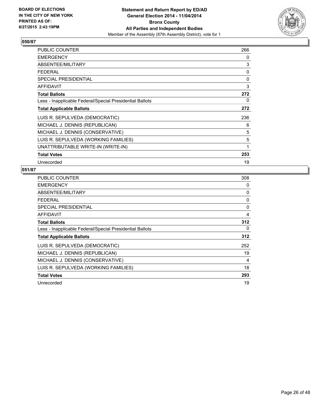

| PUBLIC COUNTER                                           | 266 |
|----------------------------------------------------------|-----|
| <b>EMERGENCY</b>                                         | 0   |
| ABSENTEE/MILITARY                                        | 3   |
| <b>FEDERAL</b>                                           | 0   |
| <b>SPECIAL PRESIDENTIAL</b>                              | 0   |
| <b>AFFIDAVIT</b>                                         | 3   |
| <b>Total Ballots</b>                                     | 272 |
| Less - Inapplicable Federal/Special Presidential Ballots | 0   |
| <b>Total Applicable Ballots</b>                          | 272 |
| LUIS R. SEPULVEDA (DEMOCRATIC)                           | 236 |
| MICHAEL J. DENNIS (REPUBLICAN)                           | 6   |
| MICHAEL J. DENNIS (CONSERVATIVE)                         | 5   |
| LUIS R. SEPULVEDA (WORKING FAMILIES)                     | 5   |
| UNATTRIBUTABLE WRITE-IN (WRITE-IN)                       | 1   |
| <b>Total Votes</b>                                       | 253 |
| Unrecorded                                               | 19  |

| <b>PUBLIC COUNTER</b>                                    | 308 |
|----------------------------------------------------------|-----|
| <b>EMERGENCY</b>                                         | 0   |
| ABSENTEE/MILITARY                                        | 0   |
| <b>FEDERAL</b>                                           | 0   |
| <b>SPECIAL PRESIDENTIAL</b>                              | 0   |
| <b>AFFIDAVIT</b>                                         | 4   |
| <b>Total Ballots</b>                                     | 312 |
| Less - Inapplicable Federal/Special Presidential Ballots | 0   |
| <b>Total Applicable Ballots</b>                          | 312 |
| LUIS R. SEPULVEDA (DEMOCRATIC)                           | 252 |
| MICHAEL J. DENNIS (REPUBLICAN)                           | 19  |
| MICHAEL J. DENNIS (CONSERVATIVE)                         | 4   |
| LUIS R. SEPULVEDA (WORKING FAMILIES)                     | 18  |
| <b>Total Votes</b>                                       | 293 |
| Unrecorded                                               | 19  |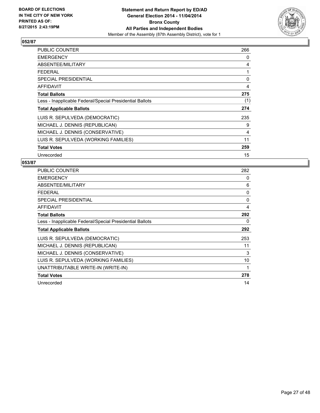

| PUBLIC COUNTER                                           | 266 |
|----------------------------------------------------------|-----|
| <b>EMERGENCY</b>                                         | 0   |
| ABSENTEE/MILITARY                                        | 4   |
| <b>FEDERAL</b>                                           | 1   |
| <b>SPECIAL PRESIDENTIAL</b>                              | 0   |
| AFFIDAVIT                                                | 4   |
| <b>Total Ballots</b>                                     | 275 |
| Less - Inapplicable Federal/Special Presidential Ballots | (1) |
| <b>Total Applicable Ballots</b>                          | 274 |
| LUIS R. SEPULVEDA (DEMOCRATIC)                           | 235 |
| MICHAEL J. DENNIS (REPUBLICAN)                           | 9   |
| MICHAEL J. DENNIS (CONSERVATIVE)                         | 4   |
| LUIS R. SEPULVEDA (WORKING FAMILIES)                     | 11  |
| <b>Total Votes</b>                                       | 259 |
| Unrecorded                                               | 15  |

| PUBLIC COUNTER                                           | 282 |
|----------------------------------------------------------|-----|
| <b>EMERGENCY</b>                                         | 0   |
| ABSENTEE/MILITARY                                        | 6   |
| <b>FEDERAL</b>                                           | 0   |
| <b>SPECIAL PRESIDENTIAL</b>                              | 0   |
| <b>AFFIDAVIT</b>                                         | 4   |
| <b>Total Ballots</b>                                     | 292 |
| Less - Inapplicable Federal/Special Presidential Ballots | 0   |
| <b>Total Applicable Ballots</b>                          | 292 |
| LUIS R. SEPULVEDA (DEMOCRATIC)                           | 253 |
| MICHAEL J. DENNIS (REPUBLICAN)                           | 11  |
| MICHAEL J. DENNIS (CONSERVATIVE)                         | 3   |
| LUIS R. SEPULVEDA (WORKING FAMILIES)                     | 10  |
| UNATTRIBUTABLE WRITE-IN (WRITE-IN)                       | 1   |
| <b>Total Votes</b>                                       | 278 |
| Unrecorded                                               | 14  |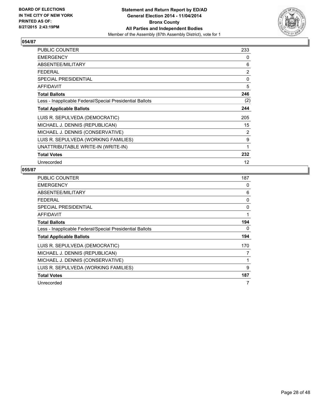

| PUBLIC COUNTER                                           | 233            |
|----------------------------------------------------------|----------------|
| <b>EMERGENCY</b>                                         | 0              |
| ABSENTEE/MILITARY                                        | 6              |
| <b>FEDERAL</b>                                           | $\overline{2}$ |
| <b>SPECIAL PRESIDENTIAL</b>                              | 0              |
| <b>AFFIDAVIT</b>                                         | 5              |
| <b>Total Ballots</b>                                     | 246            |
| Less - Inapplicable Federal/Special Presidential Ballots | (2)            |
| <b>Total Applicable Ballots</b>                          | 244            |
| LUIS R. SEPULVEDA (DEMOCRATIC)                           | 205            |
| MICHAEL J. DENNIS (REPUBLICAN)                           | 15             |
| MICHAEL J. DENNIS (CONSERVATIVE)                         | 2              |
| LUIS R. SEPULVEDA (WORKING FAMILIES)                     | 9              |
| UNATTRIBUTABLE WRITE-IN (WRITE-IN)                       | 1              |
| <b>Total Votes</b>                                       | 232            |
| Unrecorded                                               | 12             |

| <b>PUBLIC COUNTER</b>                                    | 187 |
|----------------------------------------------------------|-----|
| <b>EMERGENCY</b>                                         | 0   |
| ABSENTEE/MILITARY                                        | 6   |
| <b>FEDERAL</b>                                           | 0   |
| <b>SPECIAL PRESIDENTIAL</b>                              | 0   |
| <b>AFFIDAVIT</b>                                         | 1   |
| <b>Total Ballots</b>                                     | 194 |
| Less - Inapplicable Federal/Special Presidential Ballots | 0   |
| <b>Total Applicable Ballots</b>                          | 194 |
| LUIS R. SEPULVEDA (DEMOCRATIC)                           | 170 |
| MICHAEL J. DENNIS (REPUBLICAN)                           | 7   |
| MICHAEL J. DENNIS (CONSERVATIVE)                         | 1   |
| LUIS R. SEPULVEDA (WORKING FAMILIES)                     | 9   |
| <b>Total Votes</b>                                       | 187 |
| Unrecorded                                               | 7   |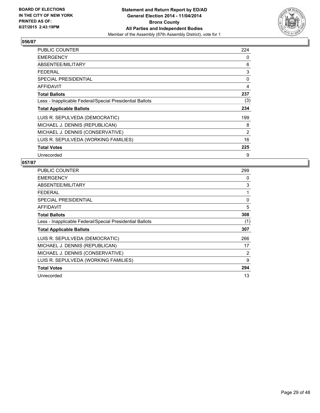

| <b>PUBLIC COUNTER</b>                                    | 224 |
|----------------------------------------------------------|-----|
| <b>EMERGENCY</b>                                         | 0   |
| ABSENTEE/MILITARY                                        | 6   |
| <b>FEDERAL</b>                                           | 3   |
| <b>SPECIAL PRESIDENTIAL</b>                              | 0   |
| <b>AFFIDAVIT</b>                                         | 4   |
| <b>Total Ballots</b>                                     | 237 |
| Less - Inapplicable Federal/Special Presidential Ballots | (3) |
| <b>Total Applicable Ballots</b>                          | 234 |
| LUIS R. SEPULVEDA (DEMOCRATIC)                           | 199 |
| MICHAEL J. DENNIS (REPUBLICAN)                           | 8   |
| MICHAEL J. DENNIS (CONSERVATIVE)                         | 2   |
| LUIS R. SEPULVEDA (WORKING FAMILIES)                     | 16  |
| <b>Total Votes</b>                                       | 225 |
| Unrecorded                                               | 9   |

| <b>PUBLIC COUNTER</b>                                    | 299 |
|----------------------------------------------------------|-----|
| <b>EMERGENCY</b>                                         | 0   |
| ABSENTEE/MILITARY                                        | 3   |
| <b>FEDERAL</b>                                           | 1   |
| <b>SPECIAL PRESIDENTIAL</b>                              | 0   |
| AFFIDAVIT                                                | 5   |
| <b>Total Ballots</b>                                     | 308 |
| Less - Inapplicable Federal/Special Presidential Ballots | (1) |
| <b>Total Applicable Ballots</b>                          | 307 |
| LUIS R. SEPULVEDA (DEMOCRATIC)                           | 266 |
| MICHAEL J. DENNIS (REPUBLICAN)                           | 17  |
| MICHAEL J. DENNIS (CONSERVATIVE)                         | 2   |
| LUIS R. SEPULVEDA (WORKING FAMILIES)                     | 9   |
| <b>Total Votes</b>                                       | 294 |
| Unrecorded                                               | 13  |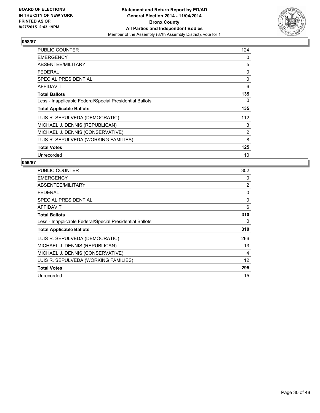

| <b>PUBLIC COUNTER</b>                                    | 124 |
|----------------------------------------------------------|-----|
| <b>EMERGENCY</b>                                         | 0   |
| ABSENTEE/MILITARY                                        | 5   |
| <b>FEDERAL</b>                                           | 0   |
| <b>SPECIAL PRESIDENTIAL</b>                              | 0   |
| <b>AFFIDAVIT</b>                                         | 6   |
| <b>Total Ballots</b>                                     | 135 |
| Less - Inapplicable Federal/Special Presidential Ballots | 0   |
| <b>Total Applicable Ballots</b>                          | 135 |
| LUIS R. SEPULVEDA (DEMOCRATIC)                           | 112 |
| MICHAEL J. DENNIS (REPUBLICAN)                           | 3   |
| MICHAEL J. DENNIS (CONSERVATIVE)                         | 2   |
| LUIS R. SEPULVEDA (WORKING FAMILIES)                     | 8   |
| <b>Total Votes</b>                                       | 125 |
| Unrecorded                                               | 10  |

| PUBLIC COUNTER                                           | 302 |
|----------------------------------------------------------|-----|
| <b>EMERGENCY</b>                                         | 0   |
| ABSENTEE/MILITARY                                        | 2   |
| <b>FEDERAL</b>                                           | 0   |
| <b>SPECIAL PRESIDENTIAL</b>                              | 0   |
| AFFIDAVIT                                                | 6   |
| <b>Total Ballots</b>                                     | 310 |
| Less - Inapplicable Federal/Special Presidential Ballots | 0   |
| <b>Total Applicable Ballots</b>                          | 310 |
| LUIS R. SEPULVEDA (DEMOCRATIC)                           | 266 |
| MICHAEL J. DENNIS (REPUBLICAN)                           | 13  |
| MICHAEL J. DENNIS (CONSERVATIVE)                         | 4   |
| LUIS R. SEPULVEDA (WORKING FAMILIES)                     | 12  |
| <b>Total Votes</b>                                       | 295 |
| Unrecorded                                               | 15  |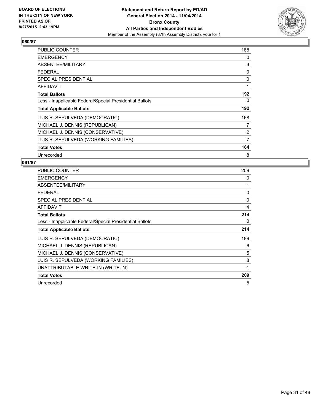

| <b>PUBLIC COUNTER</b>                                    | 188 |
|----------------------------------------------------------|-----|
| <b>EMERGENCY</b>                                         | 0   |
| ABSENTEE/MILITARY                                        | 3   |
| <b>FEDERAL</b>                                           | 0   |
| <b>SPECIAL PRESIDENTIAL</b>                              | 0   |
| <b>AFFIDAVIT</b>                                         | 1   |
| <b>Total Ballots</b>                                     | 192 |
| Less - Inapplicable Federal/Special Presidential Ballots | 0   |
| <b>Total Applicable Ballots</b>                          | 192 |
| LUIS R. SEPULVEDA (DEMOCRATIC)                           | 168 |
| MICHAEL J. DENNIS (REPUBLICAN)                           | 7   |
| MICHAEL J. DENNIS (CONSERVATIVE)                         | 2   |
| LUIS R. SEPULVEDA (WORKING FAMILIES)                     | 7   |
| <b>Total Votes</b>                                       | 184 |
| Unrecorded                                               | 8   |

| <b>PUBLIC COUNTER</b>                                    | 209 |
|----------------------------------------------------------|-----|
| <b>EMERGENCY</b>                                         | 0   |
| ABSENTEE/MILITARY                                        | 1   |
| <b>FEDERAL</b>                                           | 0   |
| <b>SPECIAL PRESIDENTIAL</b>                              | 0   |
| AFFIDAVIT                                                | 4   |
| <b>Total Ballots</b>                                     | 214 |
| Less - Inapplicable Federal/Special Presidential Ballots | 0   |
| <b>Total Applicable Ballots</b>                          | 214 |
| LUIS R. SEPULVEDA (DEMOCRATIC)                           | 189 |
| MICHAEL J. DENNIS (REPUBLICAN)                           | 6   |
| MICHAEL J. DENNIS (CONSERVATIVE)                         | 5   |
| LUIS R. SEPULVEDA (WORKING FAMILIES)                     | 8   |
| UNATTRIBUTABLE WRITE-IN (WRITE-IN)                       | 1   |
| <b>Total Votes</b>                                       | 209 |
| Unrecorded                                               | 5   |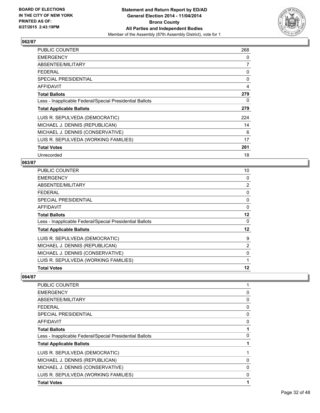

| PUBLIC COUNTER                                           | 268 |
|----------------------------------------------------------|-----|
| <b>EMERGENCY</b>                                         | 0   |
| ABSENTEE/MILITARY                                        | 7   |
| <b>FEDERAL</b>                                           | 0   |
| <b>SPECIAL PRESIDENTIAL</b>                              | 0   |
| <b>AFFIDAVIT</b>                                         | 4   |
| <b>Total Ballots</b>                                     | 279 |
| Less - Inapplicable Federal/Special Presidential Ballots | 0   |
| <b>Total Applicable Ballots</b>                          | 279 |
| LUIS R. SEPULVEDA (DEMOCRATIC)                           | 224 |
| MICHAEL J. DENNIS (REPUBLICAN)                           | 14  |
| MICHAEL J. DENNIS (CONSERVATIVE)                         | 6   |
| LUIS R. SEPULVEDA (WORKING FAMILIES)                     | 17  |
| <b>Total Votes</b>                                       | 261 |
| Unrecorded                                               | 18  |

#### **063/87**

| <b>PUBLIC COUNTER</b>                                    | 10             |
|----------------------------------------------------------|----------------|
| <b>EMERGENCY</b>                                         | 0              |
| ABSENTEE/MILITARY                                        | $\overline{2}$ |
| <b>FEDERAL</b>                                           | 0              |
| <b>SPECIAL PRESIDENTIAL</b>                              | 0              |
| <b>AFFIDAVIT</b>                                         | 0              |
| <b>Total Ballots</b>                                     | 12             |
| Less - Inapplicable Federal/Special Presidential Ballots | 0              |
| <b>Total Applicable Ballots</b>                          | 12             |
| LUIS R. SEPULVEDA (DEMOCRATIC)                           | 9              |
| MICHAEL J. DENNIS (REPUBLICAN)                           | $\overline{2}$ |
| MICHAEL J. DENNIS (CONSERVATIVE)                         | 0              |
| LUIS R. SEPULVEDA (WORKING FAMILIES)                     | 1              |
| <b>Total Votes</b>                                       | 12             |

| PUBLIC COUNTER                                           |   |
|----------------------------------------------------------|---|
| <b>EMERGENCY</b>                                         | 0 |
| ABSENTEE/MILITARY                                        | 0 |
| <b>FEDERAL</b>                                           | 0 |
| <b>SPECIAL PRESIDENTIAL</b>                              | 0 |
| AFFIDAVIT                                                | 0 |
| <b>Total Ballots</b>                                     |   |
| Less - Inapplicable Federal/Special Presidential Ballots | 0 |
| <b>Total Applicable Ballots</b>                          | 1 |
| LUIS R. SEPULVEDA (DEMOCRATIC)                           |   |
| MICHAEL J. DENNIS (REPUBLICAN)                           | 0 |
| MICHAEL J. DENNIS (CONSERVATIVE)                         | 0 |
| LUIS R. SEPULVEDA (WORKING FAMILIES)                     | 0 |
| <b>Total Votes</b>                                       | 1 |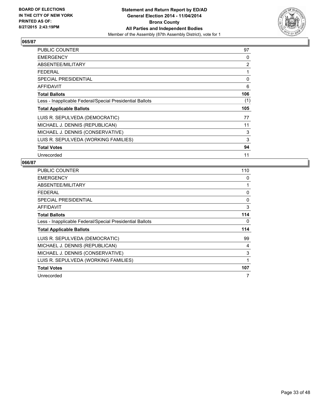

| <b>PUBLIC COUNTER</b>                                    | 97  |
|----------------------------------------------------------|-----|
| <b>EMERGENCY</b>                                         | 0   |
| ABSENTEE/MILITARY                                        | 2   |
| <b>FEDERAL</b>                                           | 1   |
| <b>SPECIAL PRESIDENTIAL</b>                              | 0   |
| <b>AFFIDAVIT</b>                                         | 6   |
| <b>Total Ballots</b>                                     | 106 |
| Less - Inapplicable Federal/Special Presidential Ballots | (1) |
| <b>Total Applicable Ballots</b>                          | 105 |
| LUIS R. SEPULVEDA (DEMOCRATIC)                           | 77  |
| MICHAEL J. DENNIS (REPUBLICAN)                           | 11  |
| MICHAEL J. DENNIS (CONSERVATIVE)                         | 3   |
| LUIS R. SEPULVEDA (WORKING FAMILIES)                     | 3   |
| <b>Total Votes</b>                                       | 94  |
| Unrecorded                                               | 11  |

| PUBLIC COUNTER                                           | 110 |
|----------------------------------------------------------|-----|
| <b>EMERGENCY</b>                                         | 0   |
| ABSENTEE/MILITARY                                        | 1   |
| <b>FEDERAL</b>                                           | 0   |
| SPECIAL PRESIDENTIAL                                     | 0   |
| AFFIDAVIT                                                | 3   |
| <b>Total Ballots</b>                                     | 114 |
| Less - Inapplicable Federal/Special Presidential Ballots | 0   |
| <b>Total Applicable Ballots</b>                          | 114 |
| LUIS R. SEPULVEDA (DEMOCRATIC)                           | 99  |
| MICHAEL J. DENNIS (REPUBLICAN)                           | 4   |
| MICHAEL J. DENNIS (CONSERVATIVE)                         | 3   |
| LUIS R. SEPULVEDA (WORKING FAMILIES)                     | 1   |
| <b>Total Votes</b>                                       | 107 |
| Unrecorded                                               | 7   |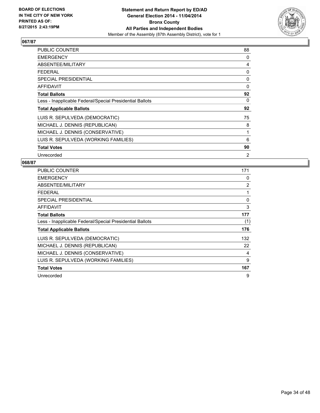

| <b>PUBLIC COUNTER</b>                                    | 88 |
|----------------------------------------------------------|----|
| <b>EMERGENCY</b>                                         | 0  |
| ABSENTEE/MILITARY                                        | 4  |
| <b>FEDERAL</b>                                           | 0  |
| <b>SPECIAL PRESIDENTIAL</b>                              | 0  |
| AFFIDAVIT                                                | 0  |
| <b>Total Ballots</b>                                     | 92 |
| Less - Inapplicable Federal/Special Presidential Ballots | 0  |
| <b>Total Applicable Ballots</b>                          | 92 |
| LUIS R. SEPULVEDA (DEMOCRATIC)                           | 75 |
| MICHAEL J. DENNIS (REPUBLICAN)                           | 8  |
| MICHAEL J. DENNIS (CONSERVATIVE)                         | 1  |
| LUIS R. SEPULVEDA (WORKING FAMILIES)                     | 6  |
| <b>Total Votes</b>                                       | 90 |
| Unrecorded                                               | 2  |

| <b>PUBLIC COUNTER</b>                                    | 171 |
|----------------------------------------------------------|-----|
| <b>EMERGENCY</b>                                         | 0   |
| ABSENTEE/MILITARY                                        | 2   |
| <b>FEDERAL</b>                                           | 1   |
| SPECIAL PRESIDENTIAL                                     | 0   |
| <b>AFFIDAVIT</b>                                         | 3   |
| <b>Total Ballots</b>                                     | 177 |
| Less - Inapplicable Federal/Special Presidential Ballots | (1) |
| <b>Total Applicable Ballots</b>                          | 176 |
| LUIS R. SEPULVEDA (DEMOCRATIC)                           | 132 |
| MICHAEL J. DENNIS (REPUBLICAN)                           | 22  |
| MICHAEL J. DENNIS (CONSERVATIVE)                         | 4   |
| LUIS R. SEPULVEDA (WORKING FAMILIES)                     | 9   |
| <b>Total Votes</b>                                       | 167 |
| Unrecorded                                               | 9   |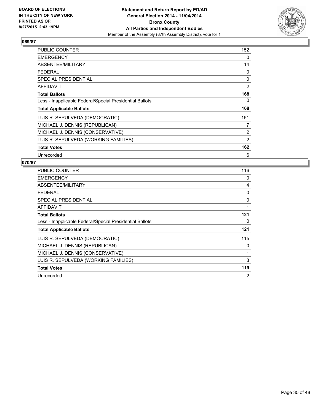

| <b>PUBLIC COUNTER</b>                                    | 152 |
|----------------------------------------------------------|-----|
| <b>EMERGENCY</b>                                         | 0   |
| ABSENTEE/MILITARY                                        | 14  |
| <b>FEDERAL</b>                                           | 0   |
| <b>SPECIAL PRESIDENTIAL</b>                              | 0   |
| <b>AFFIDAVIT</b>                                         | 2   |
| <b>Total Ballots</b>                                     | 168 |
| Less - Inapplicable Federal/Special Presidential Ballots | 0   |
| <b>Total Applicable Ballots</b>                          | 168 |
| LUIS R. SEPULVEDA (DEMOCRATIC)                           | 151 |
| MICHAEL J. DENNIS (REPUBLICAN)                           | 7   |
| MICHAEL J. DENNIS (CONSERVATIVE)                         | 2   |
| LUIS R. SEPULVEDA (WORKING FAMILIES)                     | 2   |
| <b>Total Votes</b>                                       | 162 |
| Unrecorded                                               | 6   |

| PUBLIC COUNTER                                           | 116 |
|----------------------------------------------------------|-----|
| <b>EMERGENCY</b>                                         | 0   |
| ABSENTEE/MILITARY                                        | 4   |
| <b>FEDERAL</b>                                           | 0   |
| <b>SPECIAL PRESIDENTIAL</b>                              | 0   |
| <b>AFFIDAVIT</b>                                         | 1   |
| <b>Total Ballots</b>                                     | 121 |
| Less - Inapplicable Federal/Special Presidential Ballots | 0   |
| <b>Total Applicable Ballots</b>                          | 121 |
| LUIS R. SEPULVEDA (DEMOCRATIC)                           | 115 |
| MICHAEL J. DENNIS (REPUBLICAN)                           | 0   |
| MICHAEL J. DENNIS (CONSERVATIVE)                         | 1   |
| LUIS R. SEPULVEDA (WORKING FAMILIES)                     | 3   |
| <b>Total Votes</b>                                       | 119 |
| Unrecorded                                               | 2   |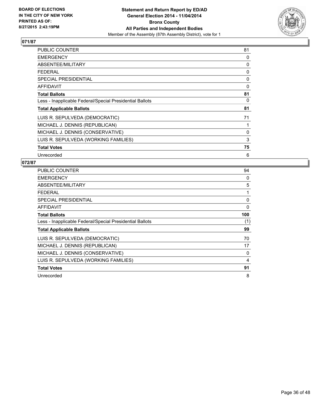

| <b>PUBLIC COUNTER</b>                                    | 81 |
|----------------------------------------------------------|----|
| <b>EMERGENCY</b>                                         | 0  |
| ABSENTEE/MILITARY                                        | 0  |
| <b>FEDERAL</b>                                           | 0  |
| <b>SPECIAL PRESIDENTIAL</b>                              | 0  |
| <b>AFFIDAVIT</b>                                         | 0  |
| <b>Total Ballots</b>                                     | 81 |
| Less - Inapplicable Federal/Special Presidential Ballots | 0  |
| <b>Total Applicable Ballots</b>                          | 81 |
| LUIS R. SEPULVEDA (DEMOCRATIC)                           | 71 |
| MICHAEL J. DENNIS (REPUBLICAN)                           | 1  |
| MICHAEL J. DENNIS (CONSERVATIVE)                         | 0  |
| LUIS R. SEPULVEDA (WORKING FAMILIES)                     | 3  |
| <b>Total Votes</b>                                       | 75 |
| Unrecorded                                               | 6  |

| <b>PUBLIC COUNTER</b>                                    | 94  |
|----------------------------------------------------------|-----|
| <b>EMERGENCY</b>                                         | 0   |
| ABSENTEE/MILITARY                                        | 5   |
| <b>FEDERAL</b>                                           | 1   |
| SPECIAL PRESIDENTIAL                                     | 0   |
| <b>AFFIDAVIT</b>                                         | 0   |
| <b>Total Ballots</b>                                     | 100 |
| Less - Inapplicable Federal/Special Presidential Ballots | (1) |
| <b>Total Applicable Ballots</b>                          | 99  |
| LUIS R. SEPULVEDA (DEMOCRATIC)                           | 70  |
| MICHAEL J. DENNIS (REPUBLICAN)                           | 17  |
| MICHAEL J. DENNIS (CONSERVATIVE)                         | 0   |
| LUIS R. SEPULVEDA (WORKING FAMILIES)                     | 4   |
| <b>Total Votes</b>                                       | 91  |
| Unrecorded                                               | 8   |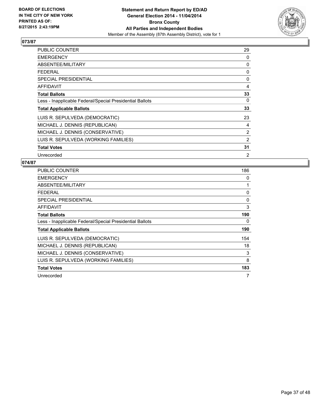

| <b>PUBLIC COUNTER</b>                                    | 29 |
|----------------------------------------------------------|----|
| <b>EMERGENCY</b>                                         | 0  |
| ABSENTEE/MILITARY                                        | 0  |
| <b>FEDERAL</b>                                           | 0  |
| <b>SPECIAL PRESIDENTIAL</b>                              | 0  |
| <b>AFFIDAVIT</b>                                         | 4  |
| <b>Total Ballots</b>                                     | 33 |
| Less - Inapplicable Federal/Special Presidential Ballots | 0  |
| <b>Total Applicable Ballots</b>                          | 33 |
| LUIS R. SEPULVEDA (DEMOCRATIC)                           | 23 |
| MICHAEL J. DENNIS (REPUBLICAN)                           | 4  |
| MICHAEL J. DENNIS (CONSERVATIVE)                         | 2  |
| LUIS R. SEPULVEDA (WORKING FAMILIES)                     | 2  |
| <b>Total Votes</b>                                       | 31 |
| Unrecorded                                               | 2  |

| <b>PUBLIC COUNTER</b>                                    | 186 |
|----------------------------------------------------------|-----|
| <b>EMERGENCY</b>                                         | 0   |
| ABSENTEE/MILITARY                                        | 1   |
| <b>FEDERAL</b>                                           | 0   |
| <b>SPECIAL PRESIDENTIAL</b>                              | 0   |
| <b>AFFIDAVIT</b>                                         | 3   |
| <b>Total Ballots</b>                                     | 190 |
| Less - Inapplicable Federal/Special Presidential Ballots | 0   |
| <b>Total Applicable Ballots</b>                          | 190 |
| LUIS R. SEPULVEDA (DEMOCRATIC)                           | 154 |
| MICHAEL J. DENNIS (REPUBLICAN)                           | 18  |
| MICHAEL J. DENNIS (CONSERVATIVE)                         | 3   |
| LUIS R. SEPULVEDA (WORKING FAMILIES)                     | 8   |
| <b>Total Votes</b>                                       | 183 |
| Unrecorded                                               | 7   |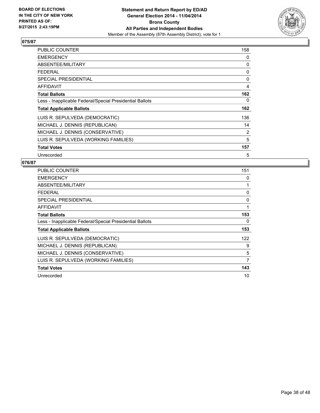

| <b>PUBLIC COUNTER</b>                                    | 158 |
|----------------------------------------------------------|-----|
| <b>EMERGENCY</b>                                         | 0   |
| ABSENTEE/MILITARY                                        | 0   |
| <b>FEDERAL</b>                                           | 0   |
| <b>SPECIAL PRESIDENTIAL</b>                              | 0   |
| <b>AFFIDAVIT</b>                                         | 4   |
| <b>Total Ballots</b>                                     | 162 |
| Less - Inapplicable Federal/Special Presidential Ballots | 0   |
| <b>Total Applicable Ballots</b>                          | 162 |
| LUIS R. SEPULVEDA (DEMOCRATIC)                           | 136 |
| MICHAEL J. DENNIS (REPUBLICAN)                           | 14  |
| MICHAEL J. DENNIS (CONSERVATIVE)                         | 2   |
| LUIS R. SEPULVEDA (WORKING FAMILIES)                     | 5   |
| <b>Total Votes</b>                                       | 157 |
| Unrecorded                                               | 5   |

| <b>PUBLIC COUNTER</b>                                    | 151 |
|----------------------------------------------------------|-----|
| <b>EMERGENCY</b>                                         | 0   |
| ABSENTEE/MILITARY                                        | 1   |
| <b>FEDERAL</b>                                           | 0   |
| SPECIAL PRESIDENTIAL                                     | 0   |
| <b>AFFIDAVIT</b>                                         | 1   |
| <b>Total Ballots</b>                                     | 153 |
| Less - Inapplicable Federal/Special Presidential Ballots | 0   |
| <b>Total Applicable Ballots</b>                          | 153 |
| LUIS R. SEPULVEDA (DEMOCRATIC)                           | 122 |
| MICHAEL J. DENNIS (REPUBLICAN)                           | 9   |
| MICHAEL J. DENNIS (CONSERVATIVE)                         | 5   |
| LUIS R. SEPULVEDA (WORKING FAMILIES)                     | 7   |
| <b>Total Votes</b>                                       | 143 |
| Unrecorded                                               | 10  |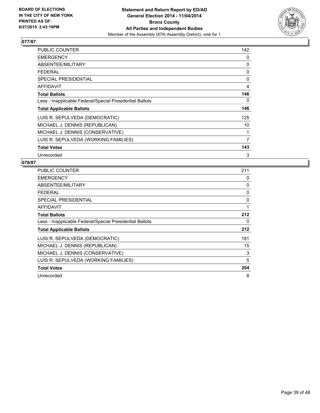

| <b>PUBLIC COUNTER</b>                                    | 142 |
|----------------------------------------------------------|-----|
| <b>EMERGENCY</b>                                         | 0   |
| ABSENTEE/MILITARY                                        | 0   |
| <b>FEDERAL</b>                                           | 0   |
| <b>SPECIAL PRESIDENTIAL</b>                              | 0   |
| <b>AFFIDAVIT</b>                                         | 4   |
| <b>Total Ballots</b>                                     | 146 |
| Less - Inapplicable Federal/Special Presidential Ballots | 0   |
| <b>Total Applicable Ballots</b>                          | 146 |
| LUIS R. SEPULVEDA (DEMOCRATIC)                           | 125 |
| MICHAEL J. DENNIS (REPUBLICAN)                           | 10  |
| MICHAEL J. DENNIS (CONSERVATIVE)                         | 1   |
| LUIS R. SEPULVEDA (WORKING FAMILIES)                     | 7   |
| <b>Total Votes</b>                                       | 143 |
| Unrecorded                                               | 3   |

| <b>PUBLIC COUNTER</b>                                    | 211 |
|----------------------------------------------------------|-----|
| <b>EMERGENCY</b>                                         | 0   |
| ABSENTEE/MILITARY                                        | 0   |
| <b>FEDERAL</b>                                           | 0   |
| <b>SPECIAL PRESIDENTIAL</b>                              | 0   |
| <b>AFFIDAVIT</b>                                         | 1   |
| <b>Total Ballots</b>                                     | 212 |
| Less - Inapplicable Federal/Special Presidential Ballots | 0   |
| <b>Total Applicable Ballots</b>                          | 212 |
| LUIS R. SEPULVEDA (DEMOCRATIC)                           | 181 |
| MICHAEL J. DENNIS (REPUBLICAN)                           | 15  |
| MICHAEL J. DENNIS (CONSERVATIVE)                         | 3   |
| LUIS R. SEPULVEDA (WORKING FAMILIES)                     | 5   |
| <b>Total Votes</b>                                       | 204 |
| Unrecorded                                               | 8   |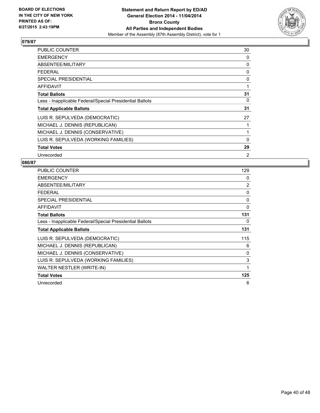

| <b>PUBLIC COUNTER</b>                                    | 30       |
|----------------------------------------------------------|----------|
| <b>EMERGENCY</b>                                         | 0        |
| ABSENTEE/MILITARY                                        | 0        |
| <b>FEDERAL</b>                                           | 0        |
| <b>SPECIAL PRESIDENTIAL</b>                              | 0        |
| AFFIDAVIT                                                | 1        |
| <b>Total Ballots</b>                                     | 31       |
| Less - Inapplicable Federal/Special Presidential Ballots | 0        |
| <b>Total Applicable Ballots</b>                          | 31       |
| LUIS R. SEPULVEDA (DEMOCRATIC)                           | 27       |
| MICHAEL J. DENNIS (REPUBLICAN)                           | 1        |
| MICHAEL J. DENNIS (CONSERVATIVE)                         | 1        |
| LUIS R. SEPULVEDA (WORKING FAMILIES)                     | $\Omega$ |
| <b>Total Votes</b>                                       | 29       |
| Unrecorded                                               | 2        |

| PUBLIC COUNTER                                           | 129      |
|----------------------------------------------------------|----------|
| <b>EMERGENCY</b>                                         | 0        |
| ABSENTEE/MILITARY                                        | 2        |
| <b>FEDERAL</b>                                           | 0        |
| <b>SPECIAL PRESIDENTIAL</b>                              | 0        |
| <b>AFFIDAVIT</b>                                         | $\Omega$ |
| <b>Total Ballots</b>                                     | 131      |
| Less - Inapplicable Federal/Special Presidential Ballots | 0        |
| <b>Total Applicable Ballots</b>                          | 131      |
| LUIS R. SEPULVEDA (DEMOCRATIC)                           | 115      |
| MICHAEL J. DENNIS (REPUBLICAN)                           | 6        |
| MICHAEL J. DENNIS (CONSERVATIVE)                         | 0        |
| LUIS R. SEPULVEDA (WORKING FAMILIES)                     | 3        |
| WALTER NESTLER (WRITE-IN)                                | 1        |
| <b>Total Votes</b>                                       | 125      |
| Unrecorded                                               | 6        |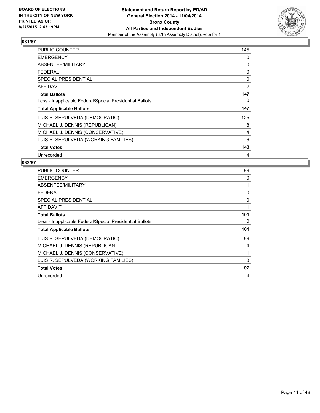

| PUBLIC COUNTER                                           | 145 |
|----------------------------------------------------------|-----|
| <b>EMERGENCY</b>                                         | 0   |
| ABSENTEE/MILITARY                                        | 0   |
| <b>FEDERAL</b>                                           | 0   |
| <b>SPECIAL PRESIDENTIAL</b>                              | 0   |
| AFFIDAVIT                                                | 2   |
| <b>Total Ballots</b>                                     | 147 |
| Less - Inapplicable Federal/Special Presidential Ballots | 0   |
| <b>Total Applicable Ballots</b>                          | 147 |
| LUIS R. SEPULVEDA (DEMOCRATIC)                           | 125 |
| MICHAEL J. DENNIS (REPUBLICAN)                           | 8   |
| MICHAEL J. DENNIS (CONSERVATIVE)                         | 4   |
| LUIS R. SEPULVEDA (WORKING FAMILIES)                     | 6   |
| <b>Total Votes</b>                                       | 143 |
| Unrecorded                                               | 4   |

| PUBLIC COUNTER                                           | 99  |
|----------------------------------------------------------|-----|
| <b>EMERGENCY</b>                                         | 0   |
| ABSENTEE/MILITARY                                        |     |
| <b>FEDERAL</b>                                           | 0   |
| SPECIAL PRESIDENTIAL                                     | 0   |
| AFFIDAVIT                                                | 1   |
| <b>Total Ballots</b>                                     | 101 |
| Less - Inapplicable Federal/Special Presidential Ballots | 0   |
| <b>Total Applicable Ballots</b>                          | 101 |
| LUIS R. SEPULVEDA (DEMOCRATIC)                           | 89  |
| MICHAEL J. DENNIS (REPUBLICAN)                           | 4   |
| MICHAEL J. DENNIS (CONSERVATIVE)                         | 1   |
| LUIS R. SEPULVEDA (WORKING FAMILIES)                     | 3   |
| <b>Total Votes</b>                                       | 97  |
| Unrecorded                                               | 4   |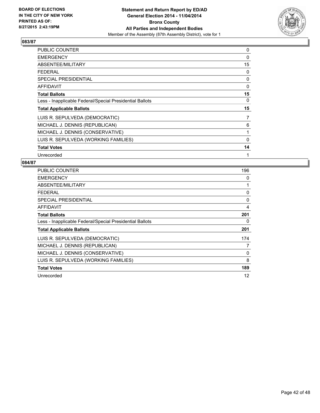

| <b>PUBLIC COUNTER</b>                                    | 0        |
|----------------------------------------------------------|----------|
| <b>EMERGENCY</b>                                         | $\Omega$ |
| ABSENTEE/MILITARY                                        | 15       |
| <b>FEDERAL</b>                                           | 0        |
| <b>SPECIAL PRESIDENTIAL</b>                              | 0        |
| <b>AFFIDAVIT</b>                                         | 0        |
| <b>Total Ballots</b>                                     | 15       |
| Less - Inapplicable Federal/Special Presidential Ballots | 0        |
| <b>Total Applicable Ballots</b>                          | 15       |
| LUIS R. SEPULVEDA (DEMOCRATIC)                           | 7        |
| MICHAEL J. DENNIS (REPUBLICAN)                           | 6        |
| MICHAEL J. DENNIS (CONSERVATIVE)                         | 1        |
| LUIS R. SEPULVEDA (WORKING FAMILIES)                     | 0        |
| <b>Total Votes</b>                                       | 14       |
| Unrecorded                                               | 1        |

| <b>PUBLIC COUNTER</b>                                    | 196 |
|----------------------------------------------------------|-----|
| <b>EMERGENCY</b>                                         | 0   |
| ABSENTEE/MILITARY                                        | 1   |
| <b>FEDERAL</b>                                           | 0   |
| SPECIAL PRESIDENTIAL                                     | 0   |
| AFFIDAVIT                                                | 4   |
| <b>Total Ballots</b>                                     | 201 |
| Less - Inapplicable Federal/Special Presidential Ballots | 0   |
| <b>Total Applicable Ballots</b>                          | 201 |
| LUIS R. SEPULVEDA (DEMOCRATIC)                           | 174 |
| MICHAEL J. DENNIS (REPUBLICAN)                           | 7   |
| MICHAEL J. DENNIS (CONSERVATIVE)                         | 0   |
| LUIS R. SEPULVEDA (WORKING FAMILIES)                     | 8   |
| <b>Total Votes</b>                                       | 189 |
| Unrecorded                                               | 12  |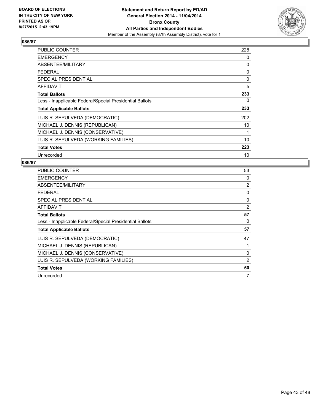

| PUBLIC COUNTER                                           | 228 |
|----------------------------------------------------------|-----|
| <b>EMERGENCY</b>                                         | 0   |
| ABSENTEE/MILITARY                                        | 0   |
| <b>FEDERAL</b>                                           | 0   |
| <b>SPECIAL PRESIDENTIAL</b>                              | 0   |
| AFFIDAVIT                                                | 5   |
| <b>Total Ballots</b>                                     | 233 |
| Less - Inapplicable Federal/Special Presidential Ballots | 0   |
| <b>Total Applicable Ballots</b>                          | 233 |
| LUIS R. SEPULVEDA (DEMOCRATIC)                           | 202 |
| MICHAEL J. DENNIS (REPUBLICAN)                           | 10  |
| MICHAEL J. DENNIS (CONSERVATIVE)                         | 1   |
| LUIS R. SEPULVEDA (WORKING FAMILIES)                     | 10  |
| <b>Total Votes</b>                                       | 223 |
| Unrecorded                                               | 10  |

| <b>PUBLIC COUNTER</b>                                    | 53             |
|----------------------------------------------------------|----------------|
| <b>EMERGENCY</b>                                         | 0              |
| ABSENTEE/MILITARY                                        | $\overline{2}$ |
| <b>FEDERAL</b>                                           | 0              |
| SPECIAL PRESIDENTIAL                                     | 0              |
| AFFIDAVIT                                                | 2              |
| <b>Total Ballots</b>                                     | 57             |
| Less - Inapplicable Federal/Special Presidential Ballots | 0              |
| <b>Total Applicable Ballots</b>                          | 57             |
| LUIS R. SEPULVEDA (DEMOCRATIC)                           | 47             |
| MICHAEL J. DENNIS (REPUBLICAN)                           | 1              |
| MICHAEL J. DENNIS (CONSERVATIVE)                         | 0              |
| LUIS R. SEPULVEDA (WORKING FAMILIES)                     | 2              |
| <b>Total Votes</b>                                       | 50             |
| Unrecorded                                               |                |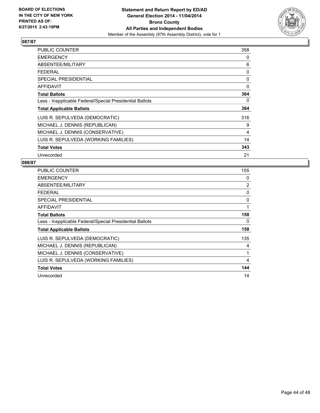

| <b>PUBLIC COUNTER</b>                                    | 358 |
|----------------------------------------------------------|-----|
| <b>EMERGENCY</b>                                         | 0   |
| ABSENTEE/MILITARY                                        | 6   |
| <b>FEDERAL</b>                                           | 0   |
| <b>SPECIAL PRESIDENTIAL</b>                              | 0   |
| <b>AFFIDAVIT</b>                                         | 0   |
| <b>Total Ballots</b>                                     | 364 |
| Less - Inapplicable Federal/Special Presidential Ballots | 0   |
| <b>Total Applicable Ballots</b>                          | 364 |
| LUIS R. SEPULVEDA (DEMOCRATIC)                           | 316 |
| MICHAEL J. DENNIS (REPUBLICAN)                           | 9   |
| MICHAEL J. DENNIS (CONSERVATIVE)                         | 4   |
| LUIS R. SEPULVEDA (WORKING FAMILIES)                     | 14  |
| <b>Total Votes</b>                                       | 343 |
| Unrecorded                                               | 21  |

| PUBLIC COUNTER                                           | 155            |
|----------------------------------------------------------|----------------|
| <b>EMERGENCY</b>                                         | 0              |
| ABSENTEE/MILITARY                                        | $\overline{2}$ |
| <b>FEDERAL</b>                                           | 0              |
| SPECIAL PRESIDENTIAL                                     | 0              |
| AFFIDAVIT                                                | 1              |
| <b>Total Ballots</b>                                     | 158            |
| Less - Inapplicable Federal/Special Presidential Ballots | 0              |
| <b>Total Applicable Ballots</b>                          | 158            |
| LUIS R. SEPULVEDA (DEMOCRATIC)                           | 135            |
| MICHAEL J. DENNIS (REPUBLICAN)                           | 4              |
| MICHAEL J. DENNIS (CONSERVATIVE)                         | 1              |
| LUIS R. SEPULVEDA (WORKING FAMILIES)                     | 4              |
| <b>Total Votes</b>                                       | 144            |
| Unrecorded                                               | 14             |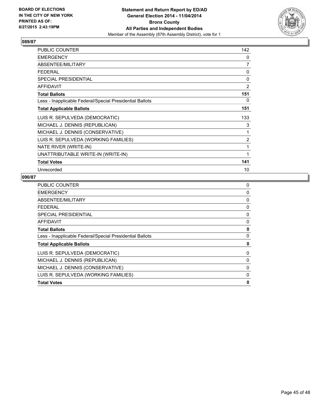

| <b>PUBLIC COUNTER</b>                                    | 142            |
|----------------------------------------------------------|----------------|
| <b>EMERGENCY</b>                                         | 0              |
| ABSENTEE/MILITARY                                        | 7              |
| <b>FEDERAL</b>                                           | 0              |
| SPECIAL PRESIDENTIAL                                     | 0              |
| <b>AFFIDAVIT</b>                                         | $\overline{2}$ |
| <b>Total Ballots</b>                                     | 151            |
| Less - Inapplicable Federal/Special Presidential Ballots | 0              |
| <b>Total Applicable Ballots</b>                          | 151            |
| LUIS R. SEPULVEDA (DEMOCRATIC)                           | 133            |
| MICHAEL J. DENNIS (REPUBLICAN)                           | 3              |
| MICHAEL J. DENNIS (CONSERVATIVE)                         | 1              |
| LUIS R. SEPULVEDA (WORKING FAMILIES)                     | $\overline{2}$ |
| NATE RIVER (WRITE-IN)                                    | 1              |
| UNATTRIBUTABLE WRITE-IN (WRITE-IN)                       | 1              |
| <b>Total Votes</b>                                       | 141            |
| Unrecorded                                               | 10             |

| 0 |
|---|
| 0 |
| 0 |
| 0 |
| 0 |
| 0 |
| 0 |
| 0 |
| 0 |
| 0 |
| 0 |
| 0 |
| 0 |
| 0 |
|   |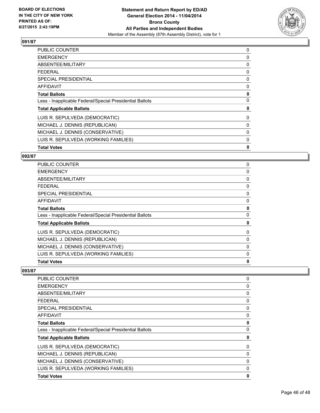

| <b>PUBLIC COUNTER</b>                                    | 0 |
|----------------------------------------------------------|---|
| <b>EMERGENCY</b>                                         | 0 |
| ABSENTEE/MILITARY                                        | 0 |
| <b>FEDERAL</b>                                           | 0 |
| <b>SPECIAL PRESIDENTIAL</b>                              | 0 |
| AFFIDAVIT                                                | 0 |
| <b>Total Ballots</b>                                     | 0 |
| Less - Inapplicable Federal/Special Presidential Ballots | 0 |
| <b>Total Applicable Ballots</b>                          | 0 |
| LUIS R. SEPULVEDA (DEMOCRATIC)                           | 0 |
| MICHAEL J. DENNIS (REPUBLICAN)                           | 0 |
| MICHAEL J. DENNIS (CONSERVATIVE)                         | 0 |
| LUIS R. SEPULVEDA (WORKING FAMILIES)                     | 0 |
| <b>Total Votes</b>                                       | 0 |

#### **092/87**

| <b>PUBLIC COUNTER</b>                                    | 0 |
|----------------------------------------------------------|---|
| <b>EMERGENCY</b>                                         | 0 |
| <b>ABSENTEE/MILITARY</b>                                 | 0 |
| FEDERAL                                                  | 0 |
| <b>SPECIAL PRESIDENTIAL</b>                              | 0 |
| <b>AFFIDAVIT</b>                                         | 0 |
| <b>Total Ballots</b>                                     | 0 |
| Less - Inapplicable Federal/Special Presidential Ballots | 0 |
| <b>Total Applicable Ballots</b>                          | 0 |
| LUIS R. SEPULVEDA (DEMOCRATIC)                           | 0 |
| MICHAEL J. DENNIS (REPUBLICAN)                           | 0 |
| MICHAEL J. DENNIS (CONSERVATIVE)                         | 0 |
| LUIS R. SEPULVEDA (WORKING FAMILIES)                     | 0 |
| <b>Total Votes</b>                                       | 0 |

| <b>PUBLIC COUNTER</b>                                    | 0        |
|----------------------------------------------------------|----------|
| <b>EMERGENCY</b>                                         | 0        |
| ABSENTEE/MILITARY                                        | 0        |
| <b>FEDERAL</b>                                           | 0        |
| <b>SPECIAL PRESIDENTIAL</b>                              | 0        |
| <b>AFFIDAVIT</b>                                         | 0        |
| <b>Total Ballots</b>                                     | 0        |
| Less - Inapplicable Federal/Special Presidential Ballots | $\Omega$ |
| <b>Total Applicable Ballots</b>                          | 0        |
| LUIS R. SEPULVEDA (DEMOCRATIC)                           | 0        |
| MICHAEL J. DENNIS (REPUBLICAN)                           | 0        |
| MICHAEL J. DENNIS (CONSERVATIVE)                         | 0        |
| LUIS R. SEPULVEDA (WORKING FAMILIES)                     | 0        |
| <b>Total Votes</b>                                       | 0        |
|                                                          |          |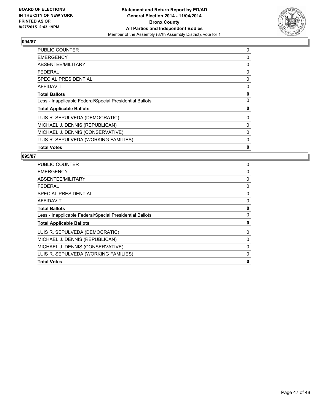

| <b>PUBLIC COUNTER</b>                                    | 0 |
|----------------------------------------------------------|---|
| <b>EMERGENCY</b>                                         | 0 |
| ABSENTEE/MILITARY                                        | 0 |
| <b>FEDERAL</b>                                           | 0 |
| <b>SPECIAL PRESIDENTIAL</b>                              | 0 |
| <b>AFFIDAVIT</b>                                         | 0 |
| <b>Total Ballots</b>                                     | 0 |
| Less - Inapplicable Federal/Special Presidential Ballots | 0 |
| <b>Total Applicable Ballots</b>                          | 0 |
| LUIS R. SEPULVEDA (DEMOCRATIC)                           | 0 |
| MICHAEL J. DENNIS (REPUBLICAN)                           | 0 |
| MICHAEL J. DENNIS (CONSERVATIVE)                         | 0 |
| LUIS R. SEPULVEDA (WORKING FAMILIES)                     | 0 |
| <b>Total Votes</b>                                       | 0 |

| <b>PUBLIC COUNTER</b>                                    | 0            |
|----------------------------------------------------------|--------------|
| <b>EMERGENCY</b>                                         | 0            |
| ABSENTEE/MILITARY                                        | 0            |
| <b>FEDERAL</b>                                           | 0            |
| SPECIAL PRESIDENTIAL                                     | 0            |
| <b>AFFIDAVIT</b>                                         | 0            |
| <b>Total Ballots</b>                                     | 0            |
| Less - Inapplicable Federal/Special Presidential Ballots | 0            |
| <b>Total Applicable Ballots</b>                          | 0            |
| LUIS R. SEPULVEDA (DEMOCRATIC)                           | 0            |
| MICHAEL J. DENNIS (REPUBLICAN)                           | 0            |
| MICHAEL J. DENNIS (CONSERVATIVE)                         | 0            |
| LUIS R. SEPULVEDA (WORKING FAMILIES)                     | 0            |
| <b>Total Votes</b>                                       | $\mathbf{0}$ |